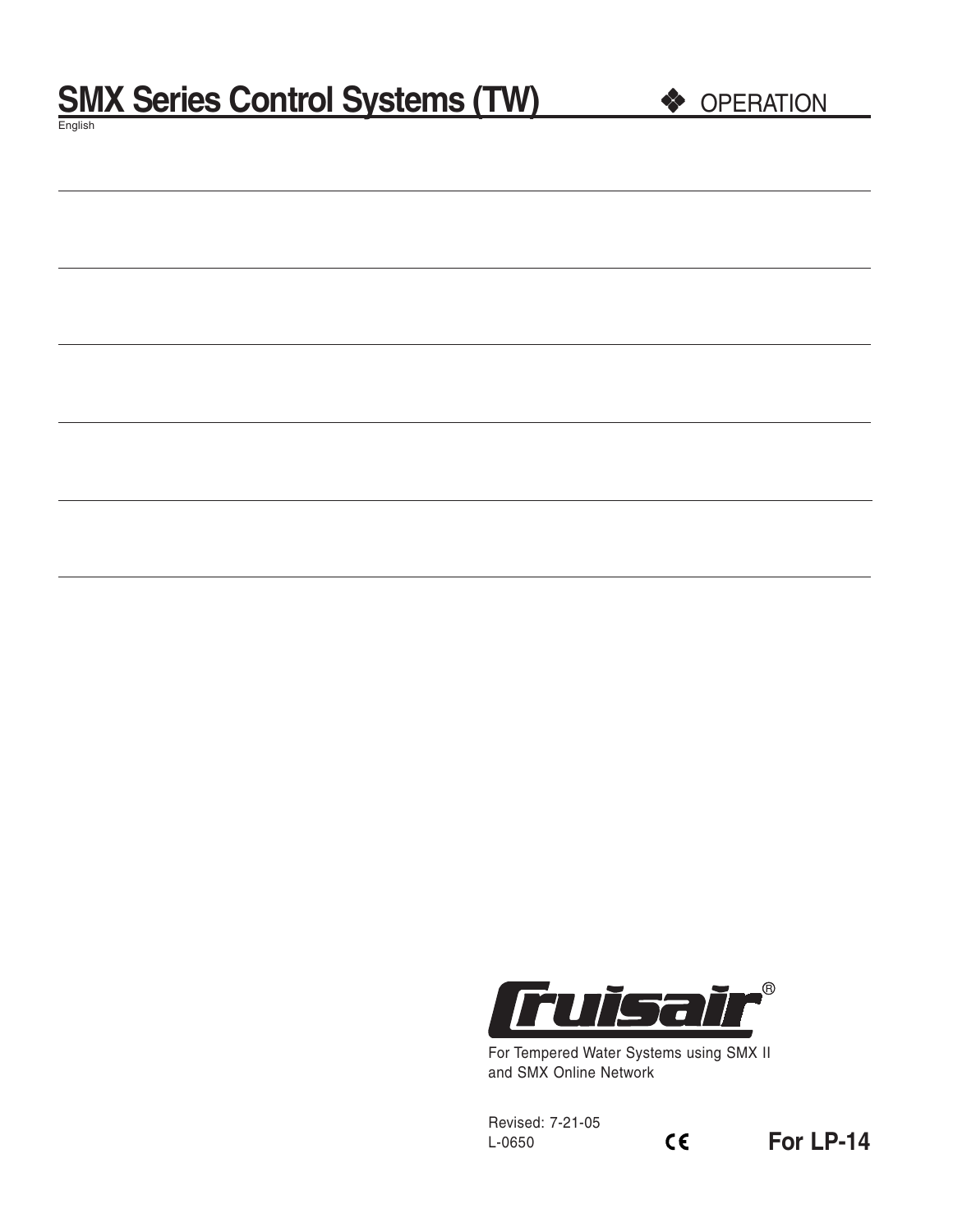# **SMX Series Control Systems (TW)**  $\bullet$  **OPERATION**

English

|--|

For Tempered Water Systems using SMX II and SMX Online Network

 $C \in$ 

Revised: 7-21-05 L-0650

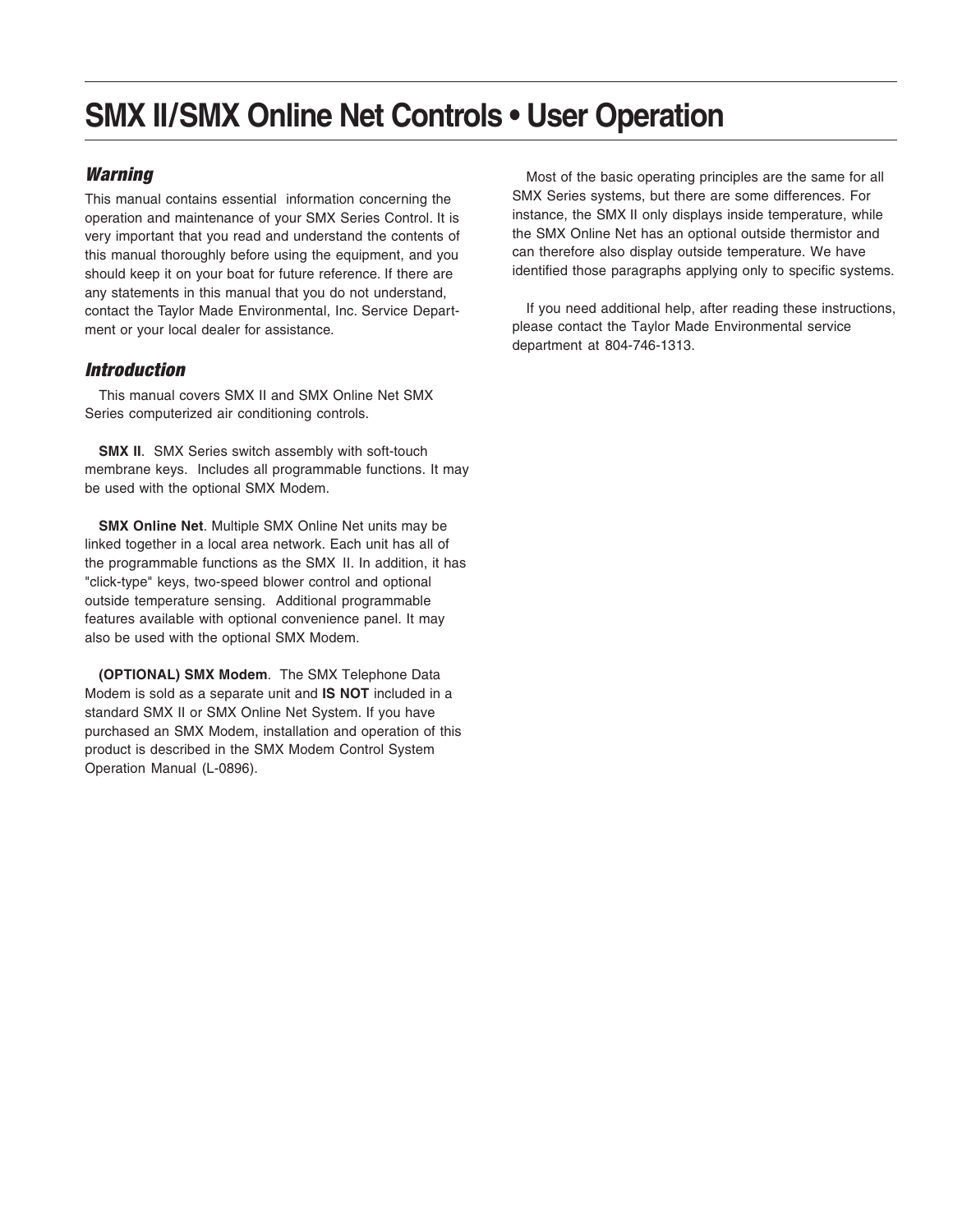# **SMX II/SMX Online Net Controls • User Operation**

## **Warning**

This manual contains essential information concerning the operation and maintenance of your SMX Series Control. It is very important that you read and understand the contents of this manual thoroughly before using the equipment, and you should keep it on your boat for future reference. If there are any statements in this manual that you do not understand, contact the Taylor Made Environmental, Inc. Service Department or your local dealer for assistance.

## Introduction

This manual covers SMX II and SMX Online Net SMX Series computerized air conditioning controls.

**SMX II.** SMX Series switch assembly with soft-touch membrane keys. Includes all programmable functions. It may be used with the optional SMX Modem.

**SMX Online Net**. Multiple SMX Online Net units may be linked together in a local area network. Each unit has all of the programmable functions as the SMX II. In addition, it has "click-type" keys, two-speed blower control and optional outside temperature sensing. Additional programmable features available with optional convenience panel. It may also be used with the optional SMX Modem.

**(OPTIONAL) SMX Modem**. The SMX Telephone Data Modem is sold as a separate unit and **IS NOT** included in a standard SMX II or SMX Online Net System. If you have purchased an SMX Modem, installation and operation of this product is described in the SMX Modem Control System Operation Manual (L-0896).

Most of the basic operating principles are the same for all SMX Series systems, but there are some differences. For instance, the SMX II only displays inside temperature, while the SMX Online Net has an optional outside thermistor and can therefore also display outside temperature. We have identified those paragraphs applying only to specific systems.

If you need additional help, after reading these instructions, please contact the Taylor Made Environmental service department at 804-746-1313.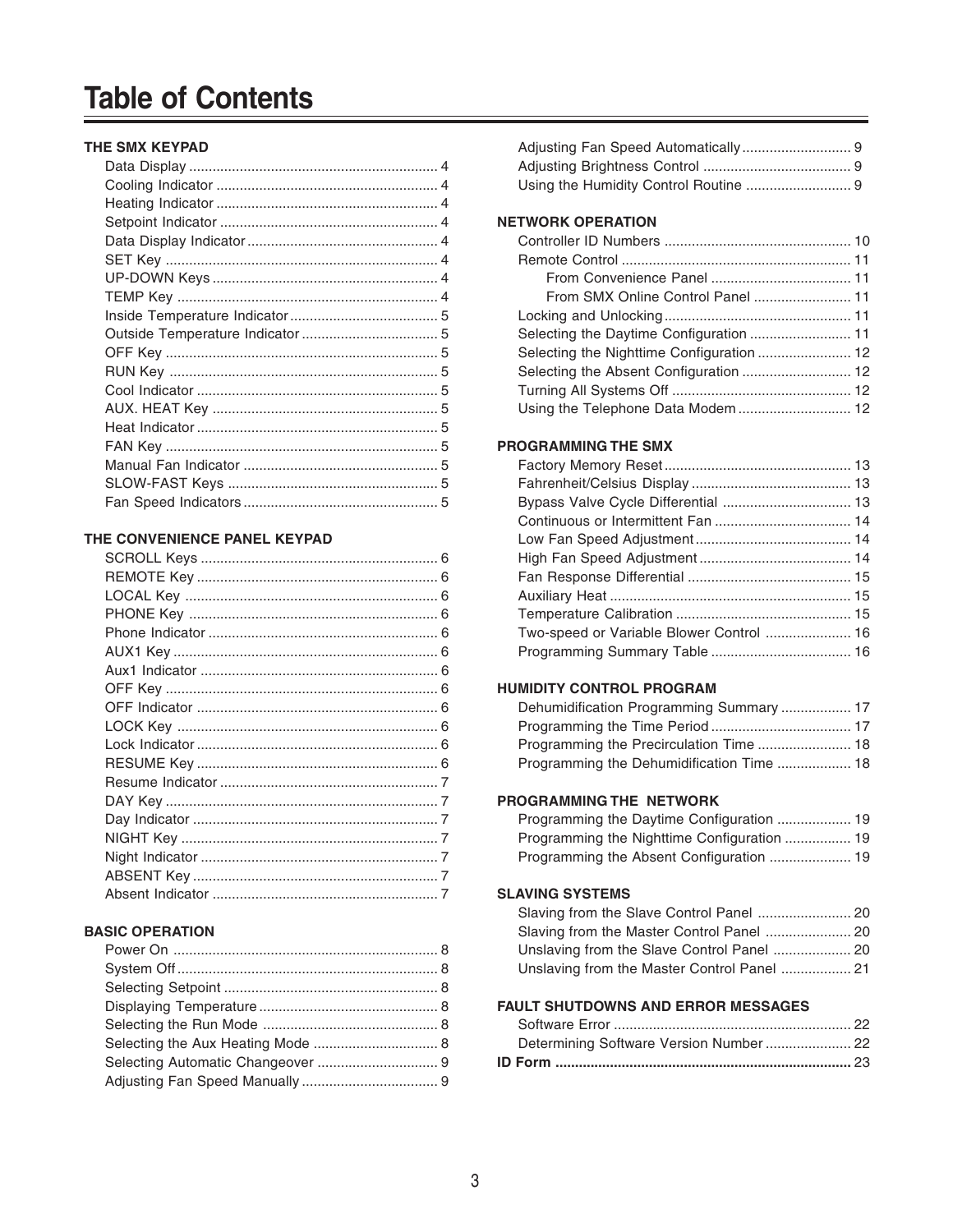# **Table of Contents**

#### **THE SMX KEYPAD**

#### **THE CONVENIENCE PANEL KEYPAD**

#### **BASIC OPERATION**

#### **NETWORK OPERATION**

| Selecting the Daytime Configuration  11 |  |
|-----------------------------------------|--|
|                                         |  |
|                                         |  |
|                                         |  |
| Using the Telephone Data Modem  12      |  |
|                                         |  |

## **PROGRAMMING THE SMX**

#### **HUMIDITY CONTROL PROGRAM**

| Dehumidification Programming Summary  17 |  |
|------------------------------------------|--|
|                                          |  |
| Programming the Precirculation Time  18  |  |
|                                          |  |

#### **PROGRAMMING THE NETWORK**

#### **SLAVING SYSTEMS**

| Slaving from the Master Control Panel  20   |  |
|---------------------------------------------|--|
| Unslaving from the Slave Control Panel  20  |  |
| Unslaving from the Master Control Panel  21 |  |

#### **FAULT SHUTDOWNS AND ERROR MESSAGES**

| Determining Software Version Number  22 |  |
|-----------------------------------------|--|
|                                         |  |
|                                         |  |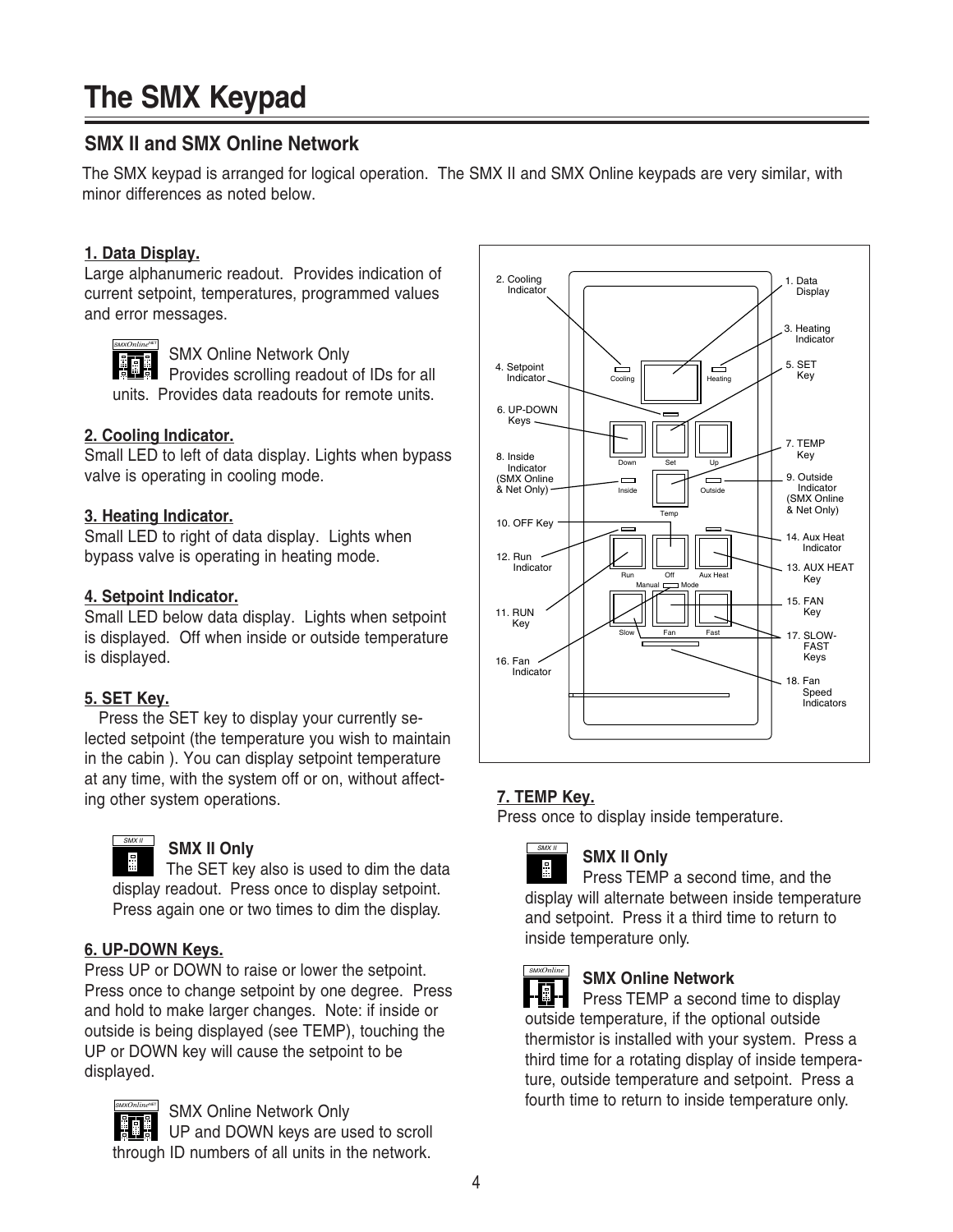# **The SMX Keypad**

# **SMX II and SMX Online Network**

The SMX keypad is arranged for logical operation. The SMX II and SMX Online keypads are very similar, with minor differences as noted below.

## **1. Data Display.**

Large alphanumeric readout. Provides indication of current setpoint, temperatures, programmed values and error messages.

SMX Online Network Only Provides scrolling readout of IDs for all units. Provides data readouts for remote units. SMX*Online*NET

## **2. Cooling Indicator.**

Small LED to left of data display. Lights when bypass valve is operating in cooling mode.

## **3. Heating Indicator.**

Small LED to right of data display. Lights when bypass valve is operating in heating mode.

## **4. Setpoint Indicator.**

Small LED below data display. Lights when setpoint is displayed. Off when inside or outside temperature is displayed.

# **5. SET Key.**

Press the SET key to display your currently selected setpoint (the temperature you wish to maintain in the cabin ). You can display setpoint temperature at any time, with the system off or on, without affecting other system operations.



## **SMX II Only**

The SET key also is used to dim the data display readout. Press once to display setpoint. Press again one or two times to dim the display.

# **6. UP-DOWN Keys.**

Press UP or DOWN to raise or lower the setpoint. Press once to change setpoint by one degree. Press and hold to make larger changes. Note: if inside or outside is being displayed (see TEMP), touching the UP or DOWN key will cause the setpoint to be displayed.



SMX Online Network Only UP and DOWN keys are used to scroll through ID numbers of all units in the network.



# **7. TEMP Key.**

 $SMX II$ 

Press once to display inside temperature.

# **SMX II Only**

÷. Press TEMP a second time, and the display will alternate between inside temperature and setpoint. Press it a third time to return to inside temperature only.



# **SMX Online Network**

Press TEMP a second time to display outside temperature, if the optional outside thermistor is installed with your system. Press a third time for a rotating display of inside temperature, outside temperature and setpoint. Press a fourth time to return to inside temperature only.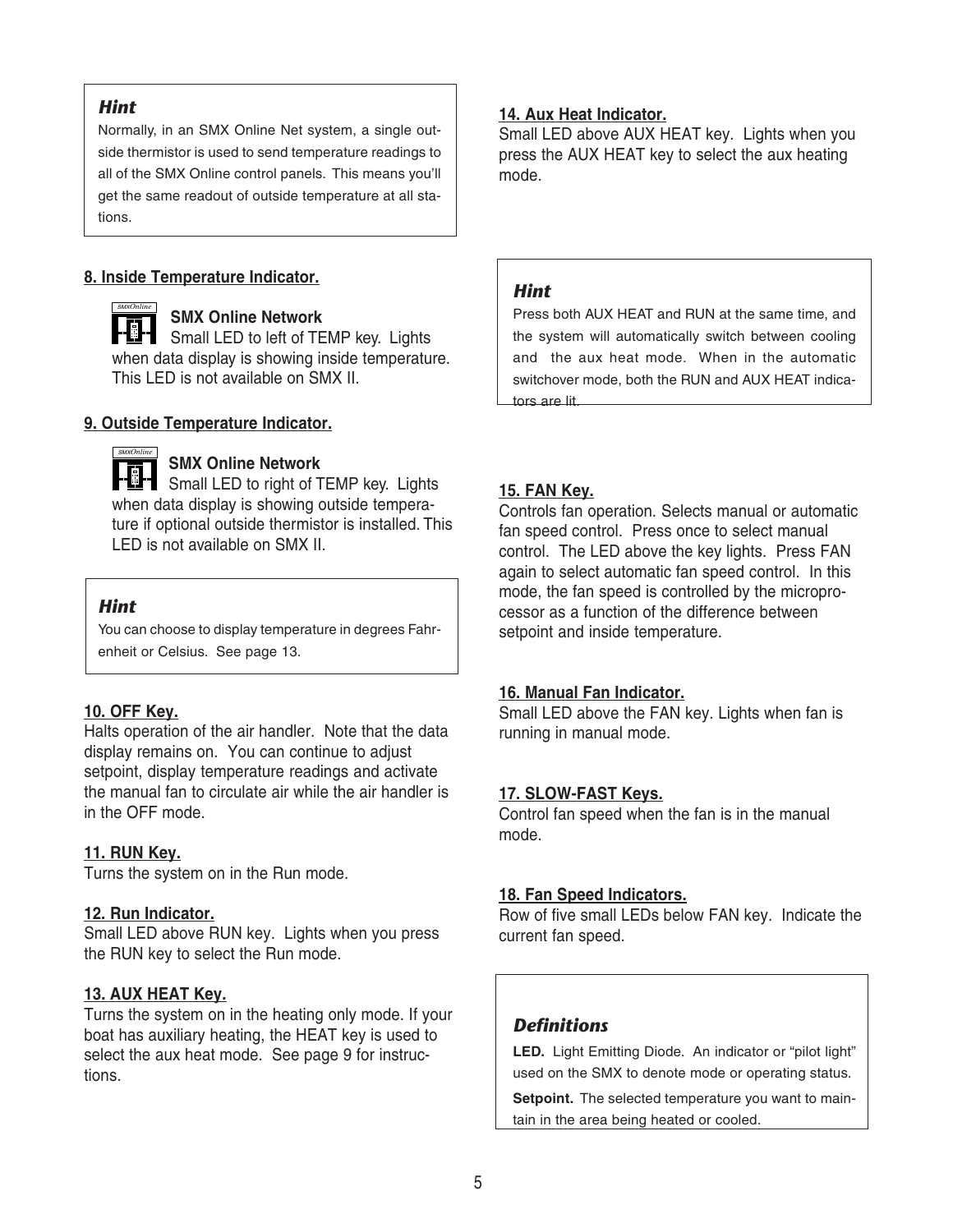## *Hint*

Normally, in an SMX Online Net system, a single outside thermistor is used to send temperature readings to all of the SMX Online control panels. This means you'll get the same readout of outside temperature at all stations.

## **8. Inside Temperature Indicator.**

**SMX Online Network Small LED to left of TEMP key. Lights** when data display is showing inside temperature. This LED is not available on SMX II. SMX*Online*

## **9. Outside Temperature Indicator.**



## **SMX Online Network**

**SMA Of THE REGIST OF STRAND AND REGISTED**<br>Figure 1 Small LED to right of TEMP key. Lights when data display is showing outside temperature if optional outside thermistor is installed. This LED is not available on SMX II.

## *Hint*

You can choose to display temperature in degrees Fahrenheit or Celsius. See page 13.

## **10. OFF Key.**

Halts operation of the air handler. Note that the data display remains on. You can continue to adjust setpoint, display temperature readings and activate the manual fan to circulate air while the air handler is in the OFF mode.

## **11. RUN Key.**

Turns the system on in the Run mode.

## **12. Run Indicator.**

Small LED above RUN key. Lights when you press the RUN key to select the Run mode.

## **13. AUX HEAT Key.**

Turns the system on in the heating only mode. If your boat has auxiliary heating, the HEAT key is used to select the aux heat mode. See page 9 for instructions.

## **14. Aux Heat Indicator.**

Small LED above AUX HEAT key. Lights when you press the AUX HEAT key to select the aux heating mode.

## *Hint*

Press both AUX HEAT and RUN at the same time, and the system will automatically switch between cooling and the aux heat mode. When in the automatic switchover mode, both the RUN and AUX HEAT indicators are lit.

## **15. FAN Key.**

Controls fan operation. Selects manual or automatic fan speed control. Press once to select manual control. The LED above the key lights. Press FAN again to select automatic fan speed control. In this mode, the fan speed is controlled by the microprocessor as a function of the difference between setpoint and inside temperature.

## **16. Manual Fan Indicator.**

Small LED above the FAN key. Lights when fan is running in manual mode.

## **17. SLOW-FAST Keys.**

Control fan speed when the fan is in the manual mode.

## **18. Fan Speed Indicators.**

Row of five small LEDs below FAN key. Indicate the current fan speed.

# *Definitions*

**LED.** Light Emitting Diode. An indicator or "pilot light" used on the SMX to denote mode or operating status.

**Setpoint.** The selected temperature you want to maintain in the area being heated or cooled.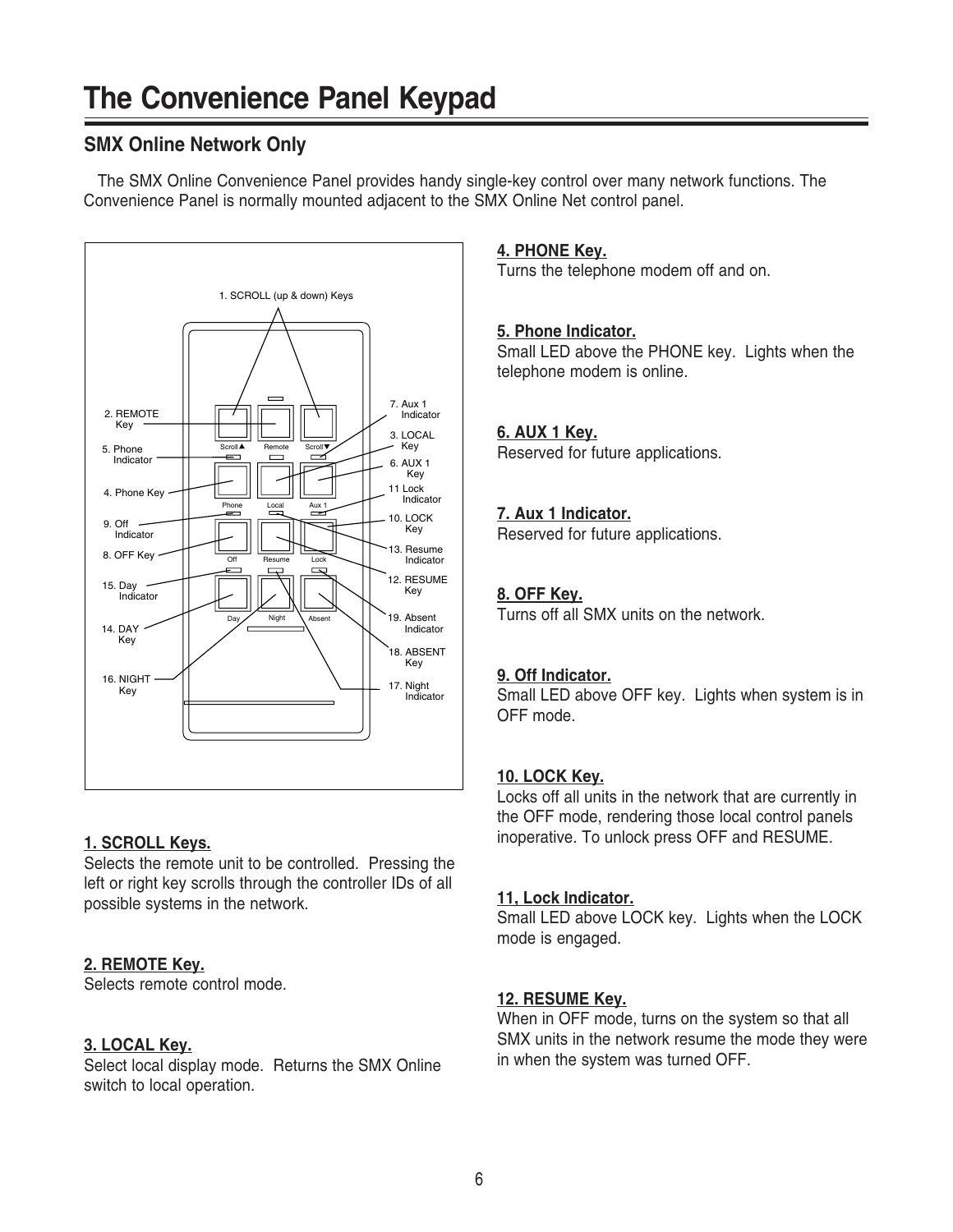# **SMX Online Network Only**

The SMX Online Convenience Panel provides handy single-key control over many network functions. The Convenience Panel is normally mounted adjacent to the SMX Online Net control panel.



# **1. SCROLL Keys.**

Selects the remote unit to be controlled. Pressing the left or right key scrolls through the controller IDs of all possible systems in the network.

# **2. REMOTE Key.**

Selects remote control mode.

## **3. LOCAL Key.**

Select local display mode. Returns the SMX Online switch to local operation.

## **4. PHONE Key.**

Turns the telephone modem off and on.

## **5. Phone Indicator.**

Small LED above the PHONE key. Lights when the telephone modem is online.

# **6. AUX 1 Key.**

Reserved for future applications.

## **7. Aux 1 Indicator.**

Reserved for future applications.

# **8. OFF Key.**

Turns off all SMX units on the network.

## **9. Off Indicator.**

Small LED above OFF key. Lights when system is in OFF mode.

## **10. LOCK Key.**

Locks off all units in the network that are currently in the OFF mode, rendering those local control panels inoperative. To unlock press OFF and RESUME.

## **11, Lock Indicator.**

Small LED above LOCK key. Lights when the LOCK mode is engaged.

# **12. RESUME Key.**

When in OFF mode, turns on the system so that all SMX units in the network resume the mode they were in when the system was turned OFF.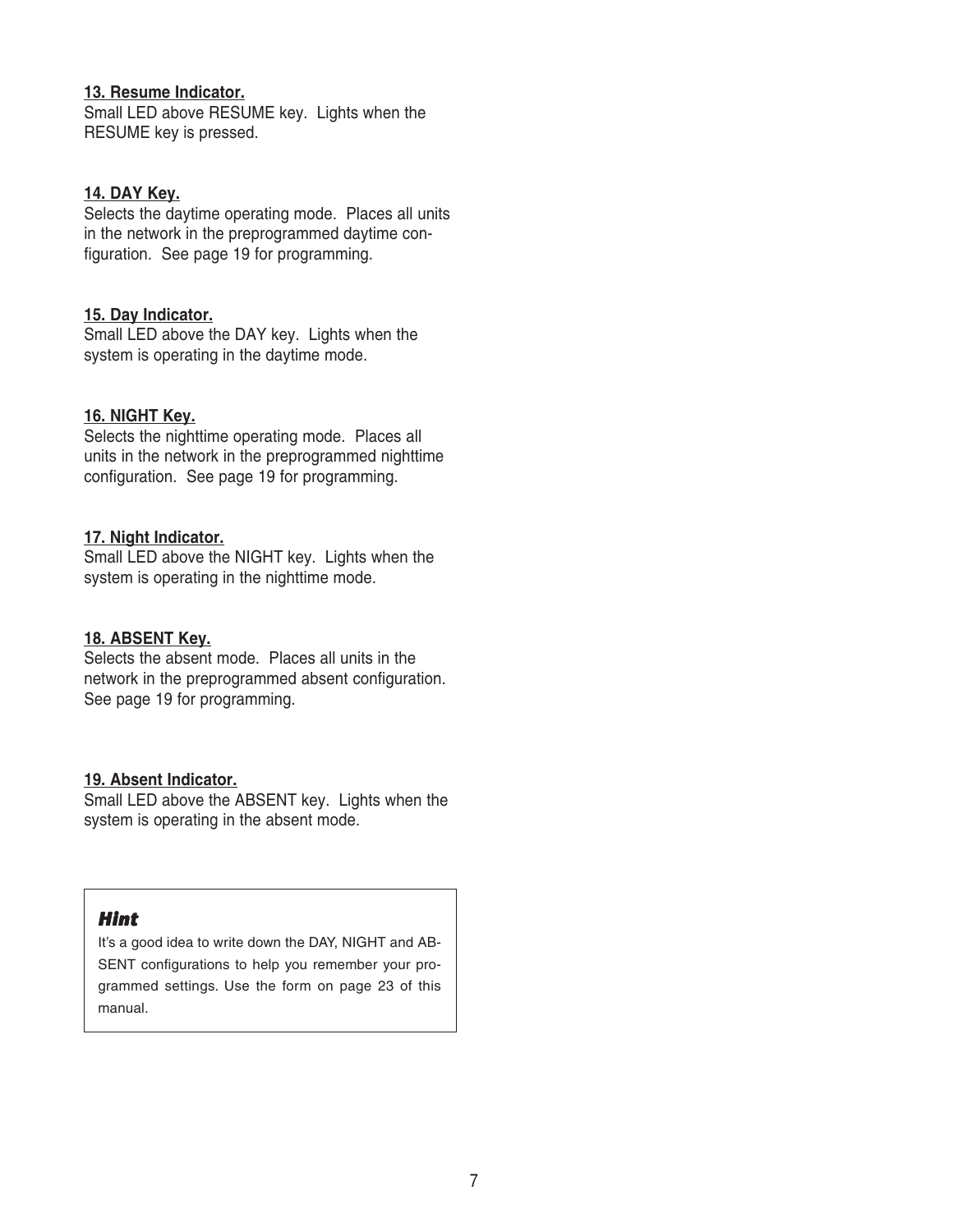### **13. Resume Indicator.**

Small LED above RESUME key. Lights when the RESUME key is pressed.

### **14. DAY Key.**

Selects the daytime operating mode. Places all units in the network in the preprogrammed daytime configuration. See page 19 for programming.

### **15. Day Indicator.**

Small LED above the DAY key. Lights when the system is operating in the daytime mode.

## **16. NIGHT Key.**

Selects the nighttime operating mode. Places all units in the network in the preprogrammed nighttime configuration. See page 19 for programming.

### **17. Night Indicator.**

Small LED above the NIGHT key. Lights when the system is operating in the nighttime mode.

## **18. ABSENT Key.**

Selects the absent mode. Places all units in the network in the preprogrammed absent configuration. See page 19 for programming.

#### **19. Absent Indicator.**

Small LED above the ABSENT key. Lights when the system is operating in the absent mode.

## *Hint*

It's a good idea to write down the DAY, NIGHT and AB-SENT configurations to help you remember your programmed settings. Use the form on page 23 of this manual.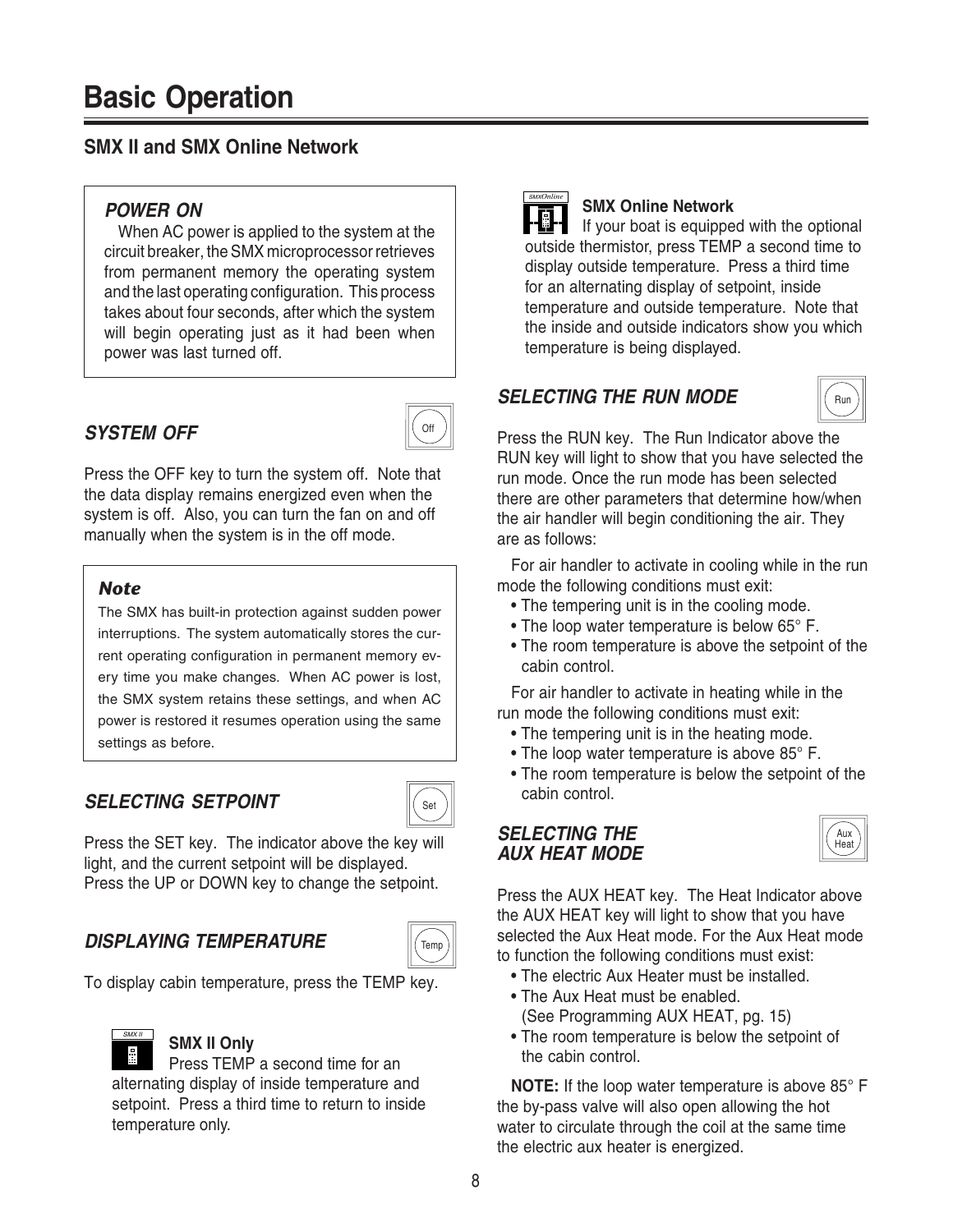# **SMX II and SMX Online Network**

# **POWER ON**

When AC power is applied to the system at the circuit breaker, the SMX microprocessor retrieves from permanent memory the operating system and the last operating configuration. This process takes about four seconds, after which the system will begin operating just as it had been when power was last turned off.

# **SYSTEM OFF**



Press the OFF key to turn the system off. Note that the data display remains energized even when the system is off. Also, you can turn the fan on and off manually when the system is in the off mode.

## *Note*

The SMX has built-in protection against sudden power interruptions. The system automatically stores the current operating configuration in permanent memory every time you make changes. When AC power is lost, the SMX system retains these settings, and when AC power is restored it resumes operation using the same settings as before.

# **SELECTING SETPOINT**



Press the SET key. The indicator above the key will light, and the current setpoint will be displayed. Press the UP or DOWN key to change the setpoint.

# **DISPLAYING TEMPERATURE**



To display cabin temperature, press the TEMP key.



## **SMX II Only**

Press TEMP a second time for an alternating display of inside temperature and setpoint. Press a third time to return to inside temperature only.

# SMX*Online*

## **SMX Online Network**

If your boat is equipped with the optional outside thermistor, press TEMP a second time to display outside temperature. Press a third time for an alternating display of setpoint, inside temperature and outside temperature. Note that the inside and outside indicators show you which temperature is being displayed.

## **SELECTING THE RUN MODE**



Press the RUN key. The Run Indicator above the RUN key will light to show that you have selected the run mode. Once the run mode has been selected there are other parameters that determine how/when the air handler will begin conditioning the air. They are as follows:

For air handler to activate in cooling while in the run mode the following conditions must exit:

- The tempering unit is in the cooling mode.
- The loop water temperature is below 65° F.
- The room temperature is above the setpoint of the cabin control.

For air handler to activate in heating while in the run mode the following conditions must exit:

- The tempering unit is in the heating mode.
- The loop water temperature is above 85° F.
- The room temperature is below the setpoint of the cabin control.

# **SELECTING THE AUX HEAT MODE**



Press the AUX HEAT key. The Heat Indicator above the AUX HEAT key will light to show that you have selected the Aux Heat mode. For the Aux Heat mode to function the following conditions must exist:

- The electric Aux Heater must be installed. • The Aux Heat must be enabled.
	- (See Programming AUX HEAT, pg. 15)
- The room temperature is below the setpoint of the cabin control.

**NOTE:** If the loop water temperature is above 85° F the by-pass valve will also open allowing the hot water to circulate through the coil at the same time the electric aux heater is energized.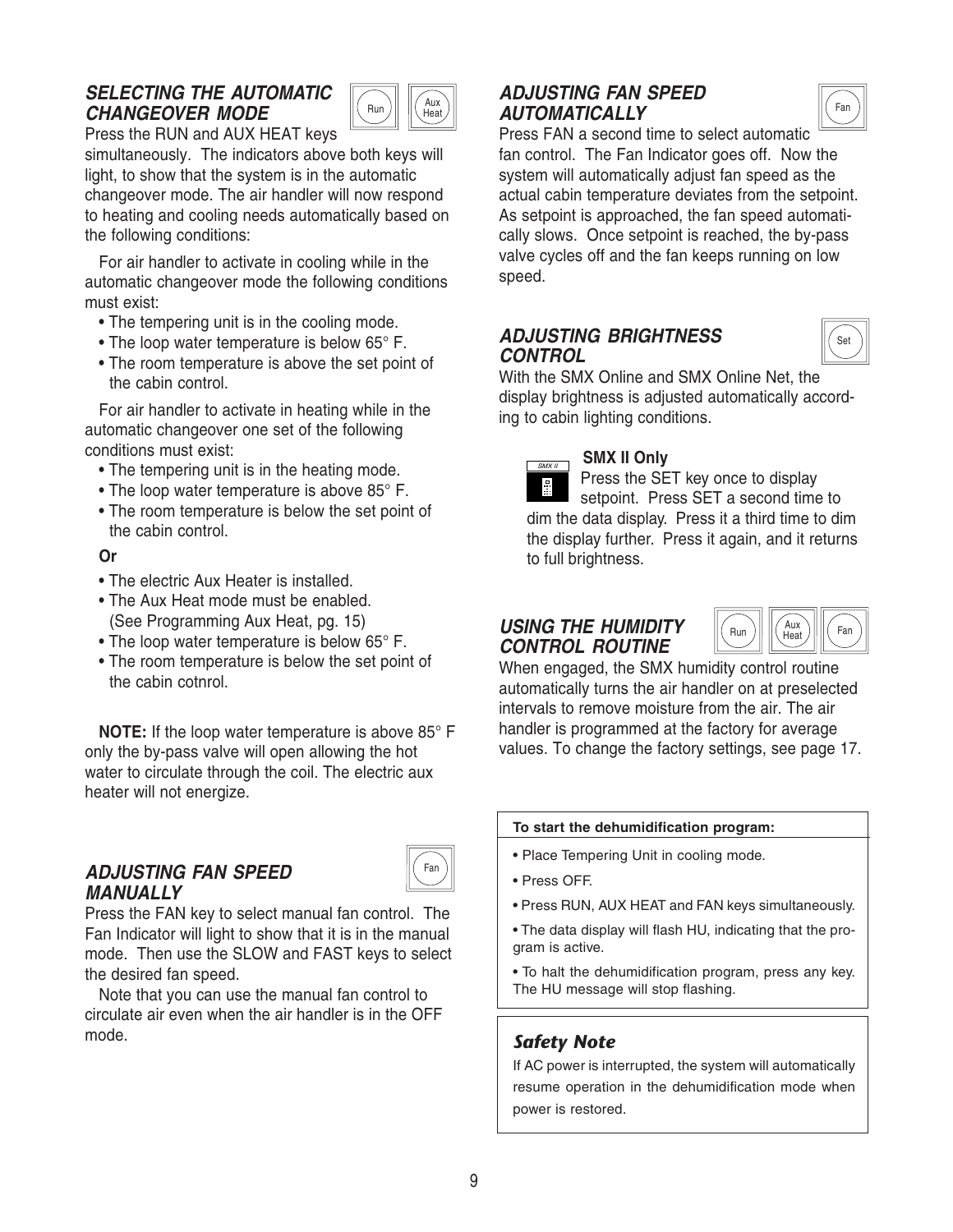## **SELECTING THE AUTOMATIC CHANGEOVER MODE**



Press the RUN and AUX HEAT keys

simultaneously. The indicators above both keys will light, to show that the system is in the automatic changeover mode. The air handler will now respond to heating and cooling needs automatically based on the following conditions:

For air handler to activate in cooling while in the automatic changeover mode the following conditions must exist:

- The tempering unit is in the cooling mode.
- The loop water temperature is below 65° F.
- The room temperature is above the set point of the cabin control.

For air handler to activate in heating while in the automatic changeover one set of the following conditions must exist:

- The tempering unit is in the heating mode.
- The loop water temperature is above 85° F.
- The room temperature is below the set point of the cabin control.

#### **Or**

- The electric Aux Heater is installed.
- The Aux Heat mode must be enabled. (See Programming Aux Heat, pg. 15)
- The loop water temperature is below 65° F.
- The room temperature is below the set point of the cabin cotnrol.

**NOTE:** If the loop water temperature is above 85° F only the by-pass valve will open allowing the hot water to circulate through the coil. The electric aux heater will not energize.

## **ADJUSTING FAN SPEED MANUALLY**



Press the FAN key to select manual fan control. The Fan Indicator will light to show that it is in the manual mode. Then use the SLOW and FAST keys to select the desired fan speed.

Note that you can use the manual fan control to circulate air even when the air handler is in the OFF mode.

# **ADJUSTING FAN SPEED AUTOMATICALLY**



Press FAN a second time to select automatic fan control. The Fan Indicator goes off. Now the system will automatically adjust fan speed as the actual cabin temperature deviates from the setpoint. As setpoint is approached, the fan speed automatically slows. Once setpoint is reached, the by-pass valve cycles off and the fan keeps running on low speed.

## **ADJUSTING BRIGHTNESS CONTROL**



With the SMX Online and SMX Online Net, the display brightness is adjusted automatically according to cabin lighting conditions.

## **SMX II Only**

Press the SET key once to display 量 setpoint. Press SET a second time to dim the data display. Press it a third time to dim the display further. Press it again, and it returns to full brightness.

# **USING THE HUMIDITY CONTROL ROUTINE**

 $SMX II$ 



When engaged, the SMX humidity control routine automatically turns the air handler on at preselected intervals to remove moisture from the air. The air handler is programmed at the factory for average values. To change the factory settings, see page 17.

#### **To start the dehumidification program:**

- Place Tempering Unit in cooling mode.
- Press OFF.
- Press RUN, AUX HEAT and FAN keys simultaneously.

• The data display will flash HU, indicating that the program is active.

• To halt the dehumidification program, press any key. The HU message will stop flashing.

## *Safety Note*

If AC power is interrupted, the system will automatically resume operation in the dehumidification mode when power is restored.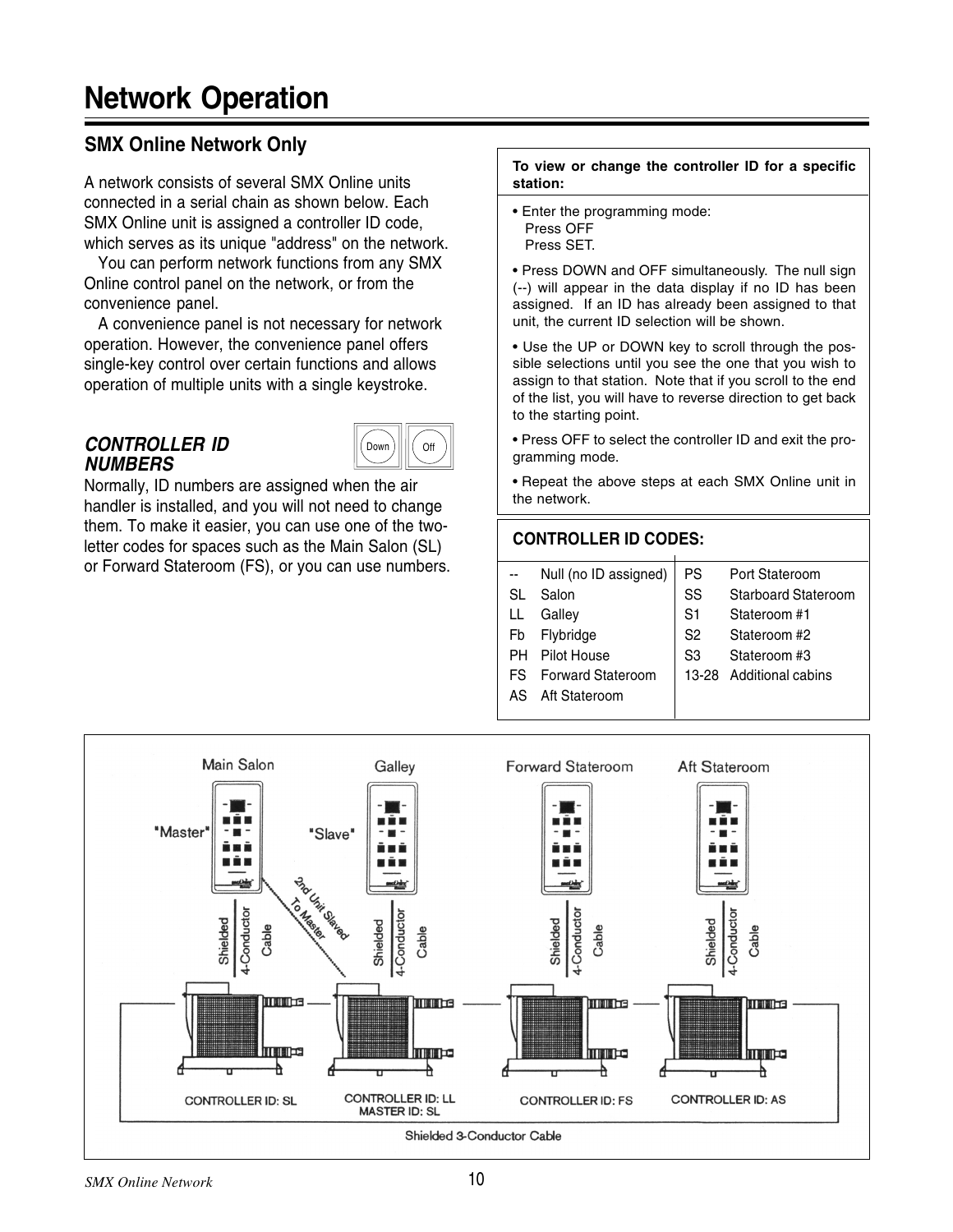# **Network Operation**

# **SMX Online Network Only**

A network consists of several SMX Online units connected in a serial chain as shown below. Each SMX Online unit is assigned a controller ID code, which serves as its unique "address" on the network.

You can perform network functions from any SMX Online control panel on the network, or from the convenience panel.

A convenience panel is not necessary for network operation. However, the convenience panel offers single-key control over certain functions and allows operation of multiple units with a single keystroke.

## **CONTROLLER ID NUMBERS**



Normally, ID numbers are assigned when the air handler is installed, and you will not need to change them. To make it easier, you can use one of the twoletter codes for spaces such as the Main Salon (SL) or Forward Stateroom (FS), or you can use numbers.

#### **To view or change the controller ID for a specific station:**

• Enter the programming mode: Press OFF Press SET.

• Press DOWN and OFF simultaneously. The null sign (--) will appear in the data display if no ID has been assigned. If an ID has already been assigned to that unit, the current ID selection will be shown.

• Use the UP or DOWN key to scroll through the possible selections until you see the one that you wish to assign to that station. Note that if you scroll to the end of the list, you will have to reverse direction to get back to the starting point.

• Press OFF to select the controller ID and exit the programming mode.

• Repeat the above steps at each SMX Online unit in the network.

# **CONTROLLER ID CODES:**

| $\sim$ $\sim$ | Null (no ID assigned) | PS             | Port Stateroom             |
|---------------|-----------------------|----------------|----------------------------|
| SL            | Salon                 | SS             | <b>Starboard Stateroom</b> |
| LL            | Galley                | S <sub>1</sub> | Stateroom #1               |
|               | Fb Flybridge          | S <sub>2</sub> | Stateroom #2               |
|               | PH Pilot House        | S <sub>3</sub> | Stateroom #3               |

- FS Forward Stateroom  $\left| \right|$  13-28 Additional cabins
- AS Aft Stateroom

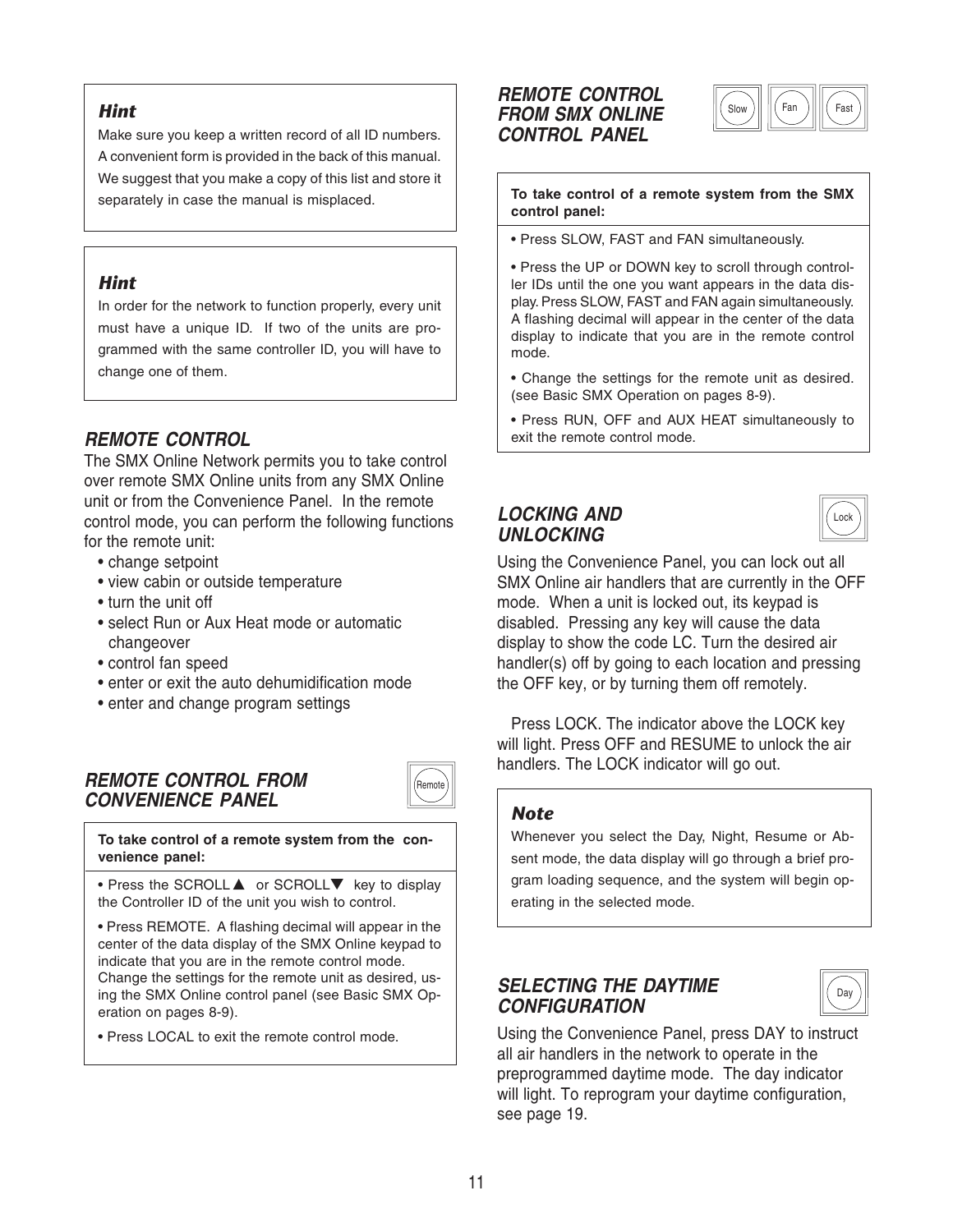## *Hint*

Make sure you keep a written record of all ID numbers. A convenient form is provided in the back of this manual. We suggest that you make a copy of this list and store it separately in case the manual is misplaced.

### *Hint*

In order for the network to function properly, every unit must have a unique ID. If two of the units are programmed with the same controller ID, you will have to change one of them.

## **REMOTE CONTROL**

The SMX Online Network permits you to take control over remote SMX Online units from any SMX Online unit or from the Convenience Panel. In the remote control mode, you can perform the following functions for the remote unit:

- change setpoint
- view cabin or outside temperature
- turn the unit off
- select Run or Aux Heat mode or automatic changeover
- control fan speed
- enter or exit the auto dehumidification mode
- enter and change program settings

## **REMOTE CONTROL FROM CONVENIENCE PANEL**



**To take control of a remote system from the convenience panel:**

• Press the SCROLL **A** or SCROLL▼ key to display the Controller ID of the unit you wish to control.

• Press REMOTE. A flashing decimal will appear in the center of the data display of the SMX Online keypad to indicate that you are in the remote control mode. Change the settings for the remote unit as desired, using the SMX Online control panel (see Basic SMX Operation on pages 8-9).

• Press LOCAL to exit the remote control mode.

### **REMOTE CONTROL FROM SMX ONLINE CONTROL PANEL**



#### **To take control of a remote system from the SMX control panel:**

• Press SLOW, FAST and FAN simultaneously.

• Press the UP or DOWN key to scroll through controller IDs until the one you want appears in the data display. Press SLOW, FAST and FAN again simultaneously. A flashing decimal will appear in the center of the data display to indicate that you are in the remote control mode.

- Change the settings for the remote unit as desired. (see Basic SMX Operation on pages 8-9).
- Press RUN, OFF and AUX HEAT simultaneously to exit the remote control mode.

## **LOCKING AND UNLOCKING**



Using the Convenience Panel, you can lock out all SMX Online air handlers that are currently in the OFF mode. When a unit is locked out, its keypad is disabled. Pressing any key will cause the data display to show the code LC. Turn the desired air handler(s) off by going to each location and pressing the OFF key, or by turning them off remotely.

Press LOCK. The indicator above the LOCK key will light. Press OFF and RESUME to unlock the air handlers. The LOCK indicator will go out.

## *Note*

Whenever you select the Day, Night, Resume or Absent mode, the data display will go through a brief program loading sequence, and the system will begin operating in the selected mode.

## **SELECTING THE DAYTIME CONFIGURATION**

|--|

Using the Convenience Panel, press DAY to instruct all air handlers in the network to operate in the preprogrammed daytime mode. The day indicator will light. To reprogram your daytime configuration, see page 19.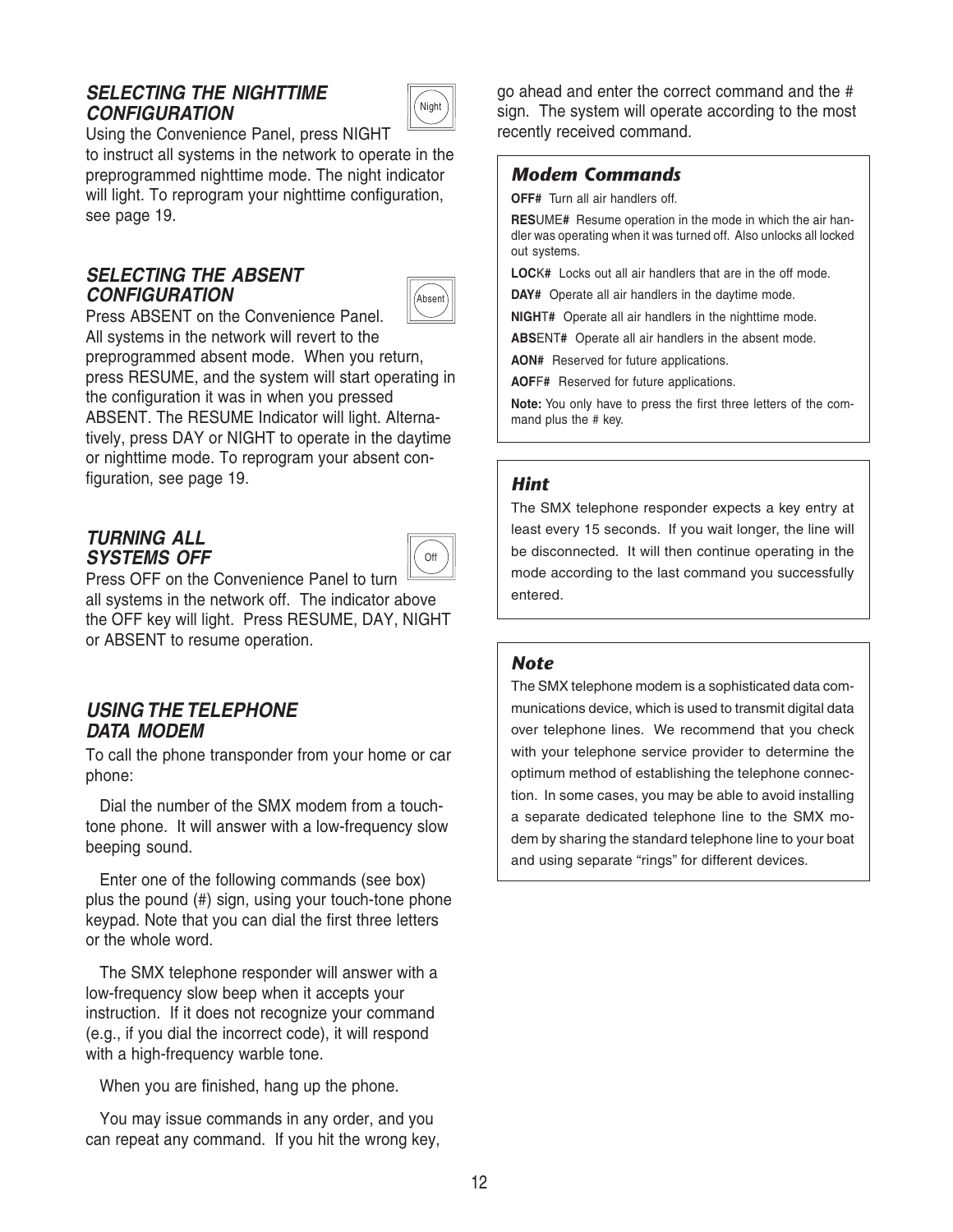## **SELECTING THE NIGHTTIME CONFIGURATION**



Using the Convenience Panel, press NIGHT to instruct all systems in the network to operate in the preprogrammed nighttime mode. The night indicator will light. To reprogram your nighttime configuration,

## **SELECTING THE ABSENT CONFIGURATION**

see page 19.



Press ABSENT on the Convenience Panel. All systems in the network will revert to the preprogrammed absent mode. When you return, press RESUME, and the system will start operating in the configuration it was in when you pressed ABSENT. The RESUME Indicator will light. Alternatively, press DAY or NIGHT to operate in the daytime or nighttime mode. To reprogram your absent configuration, see page 19.

## **TURNING ALL SYSTEMS OFF**



Press OFF on the Convenience Panel to turn all systems in the network off. The indicator above the OFF key will light. Press RESUME, DAY, NIGHT or ABSENT to resume operation.

## **USING THE TELEPHONE DATA MODEM**

To call the phone transponder from your home or car phone:

Dial the number of the SMX modem from a touchtone phone. It will answer with a low-frequency slow beeping sound.

Enter one of the following commands (see box) plus the pound (#) sign, using your touch-tone phone keypad. Note that you can dial the first three letters or the whole word.

The SMX telephone responder will answer with a low-frequency slow beep when it accepts your instruction. If it does not recognize your command (e.g., if you dial the incorrect code), it will respond with a high-frequency warble tone.

When you are finished, hang up the phone.

You may issue commands in any order, and you can repeat any command. If you hit the wrong key, go ahead and enter the correct command and the # sign. The system will operate according to the most recently received command.

## *Modem Commands*

**OFF#** Turn all air handlers off.

**RES**UME**#** Resume operation in the mode in which the air handler was operating when it was turned off. Also unlocks all locked out systems.

**LOC**K**#** Locks out all air handlers that are in the off mode.

**DAY#** Operate all air handlers in the daytime mode.

**NIGH**T**#** Operate all air handlers in the nighttime mode.

**ABS**ENT**#** Operate all air handlers in the absent mode.

**AON#** Reserved for future applications.

**AOF**F**#** Reserved for future applications.

**Note:** You only have to press the first three letters of the command plus the # key.

## *Hint*

The SMX telephone responder expects a key entry at least every 15 seconds. If you wait longer, the line will be disconnected. It will then continue operating in the mode according to the last command you successfully entered.

## *Note*

The SMX telephone modem is a sophisticated data communications device, which is used to transmit digital data over telephone lines. We recommend that you check with your telephone service provider to determine the optimum method of establishing the telephone connection. In some cases, you may be able to avoid installing a separate dedicated telephone line to the SMX modem by sharing the standard telephone line to your boat and using separate "rings" for different devices.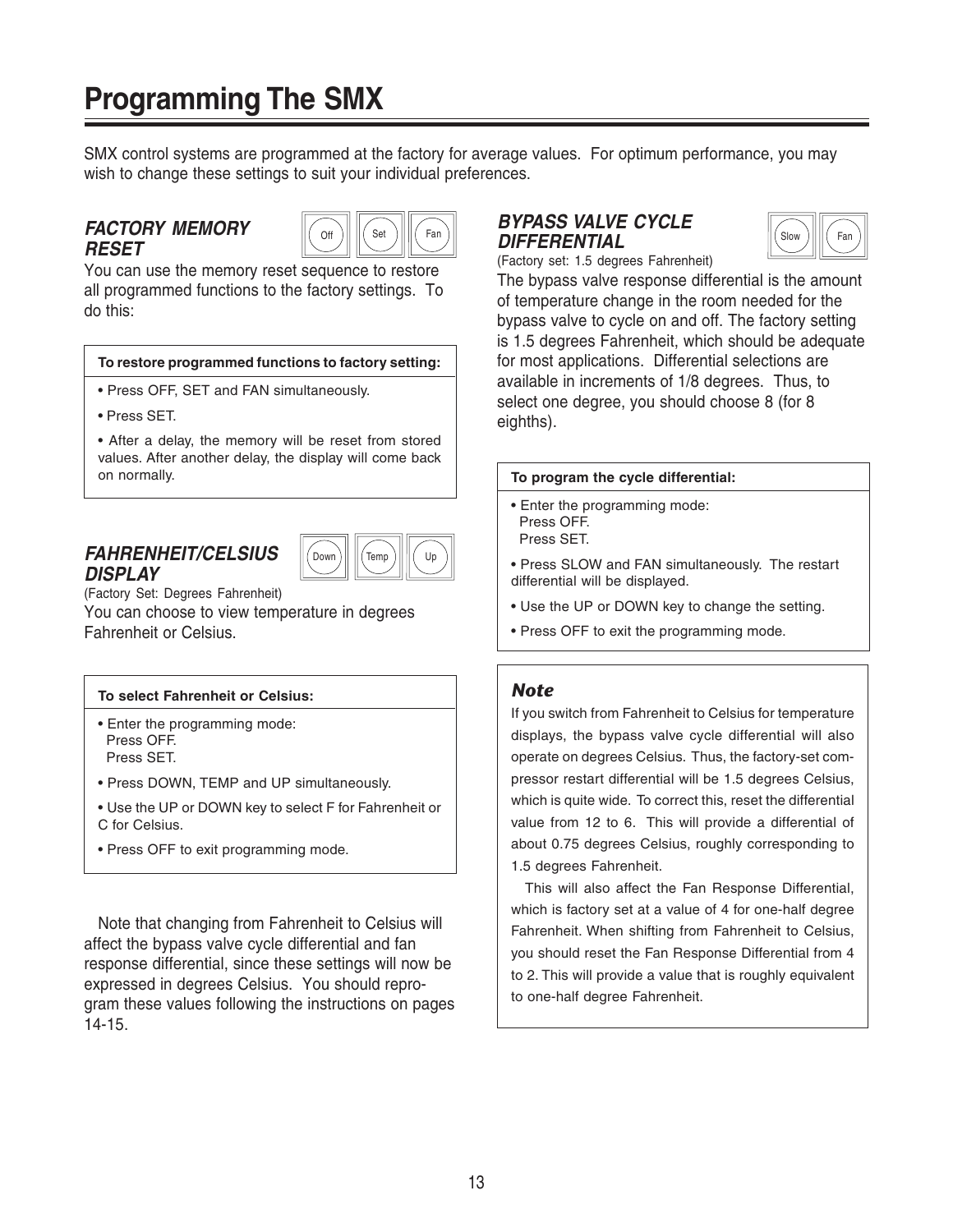# **Programming The SMX**

SMX control systems are programmed at the factory for average values. For optimum performance, you may wish to change these settings to suit your individual preferences.

## **FACTORY MEMORY RESET**



You can use the memory reset sequence to restore all programmed functions to the factory settings. To do this:

#### **To restore programmed functions to factory setting:**

- Press OFF, SET and FAN simultaneously.
- Press SET.

• After a delay, the memory will be reset from stored values. After another delay, the display will come back on normally.

## **FAHRENHEIT/CELSIUS DISPLAY**



(Factory Set: Degrees Fahrenheit) You can choose to view temperature in degrees Fahrenheit or Celsius.

#### **To select Fahrenheit or Celsius:**

- Enter the programming mode: Press OFF. Press SET.
- Press DOWN, TEMP and UP simultaneously.
- Use the UP or DOWN key to select F for Fahrenheit or C for Celsius.
- Press OFF to exit programming mode.

Note that changing from Fahrenheit to Celsius will affect the bypass valve cycle differential and fan response differential, since these settings will now be expressed in degrees Celsius. You should reprogram these values following the instructions on pages 14-15.

## **BYPASS VALVE CYCLE DIFFERENTIAL**



(Factory set: 1.5 degrees Fahrenheit)

The bypass valve response differential is the amount of temperature change in the room needed for the bypass valve to cycle on and off. The factory setting is 1.5 degrees Fahrenheit, which should be adequate for most applications. Differential selections are available in increments of 1/8 degrees. Thus, to select one degree, you should choose 8 (for 8 eighths).

#### **To program the cycle differential:**

- Enter the programming mode: Press OFF.
	- Press SET.

• Press SLOW and FAN simultaneously. The restart differential will be displayed.

- Use the UP or DOWN key to change the setting.
- Press OFF to exit the programming mode.

#### *Note*

If you switch from Fahrenheit to Celsius for temperature displays, the bypass valve cycle differential will also operate on degrees Celsius. Thus, the factory-set compressor restart differential will be 1.5 degrees Celsius, which is quite wide. To correct this, reset the differential value from 12 to 6. This will provide a differential of about 0.75 degrees Celsius, roughly corresponding to 1.5 degrees Fahrenheit.

This will also affect the Fan Response Differential, which is factory set at a value of 4 for one-half degree Fahrenheit. When shifting from Fahrenheit to Celsius, you should reset the Fan Response Differential from 4 to 2. This will provide a value that is roughly equivalent to one-half degree Fahrenheit.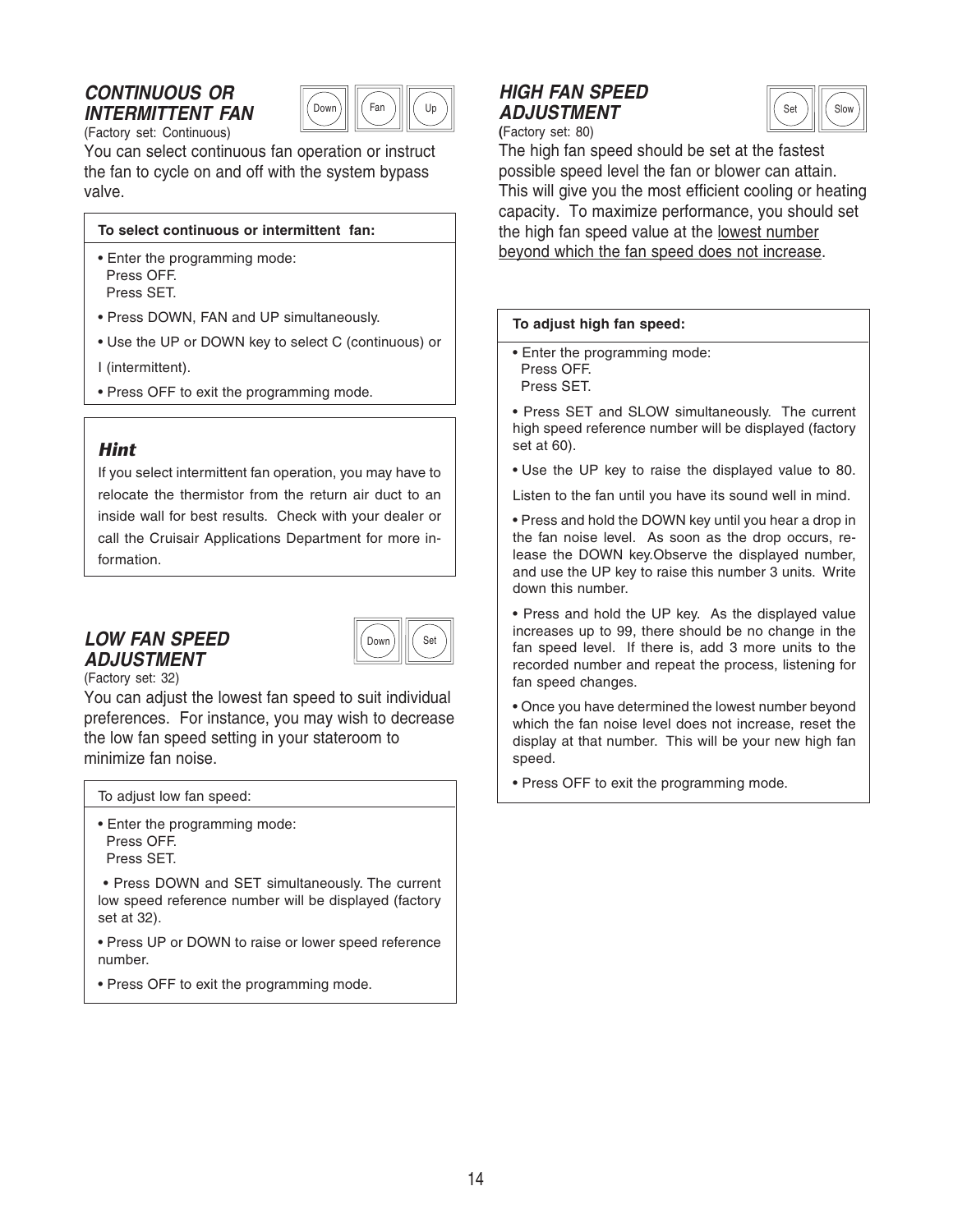# **CONTINUOUS OR INTERMITTENT FAN**



(Factory set: Continuous)

You can select continuous fan operation or instruct the fan to cycle on and off with the system bypass valve.

#### **To select continuous or intermittent fan:**

- Enter the programming mode: Press OFF. Press SET.
- Press DOWN, FAN and UP simultaneously.
- Use the UP or DOWN key to select C (continuous) or

I (intermittent).

• Press OFF to exit the programming mode.

## *Hint*

If you select intermittent fan operation, you may have to relocate the thermistor from the return air duct to an inside wall for best results. Check with your dealer or call the Cruisair Applications Department for more information.

## **LOW FAN SPEED ADJUSTMENT**



(Factory set: 32)

You can adjust the lowest fan speed to suit individual preferences. For instance, you may wish to decrease the low fan speed setting in your stateroom to minimize fan noise.

To adjust low fan speed:

• Enter the programming mode: Press OFF. Press SET.

 • Press DOWN and SET simultaneously. The current low speed reference number will be displayed (factory set at 32).

• Press UP or DOWN to raise or lower speed reference number.

• Press OFF to exit the programming mode.

# **HIGH FAN SPEED ADJUSTMENT**



**(**Factory set: 80)

The high fan speed should be set at the fastest possible speed level the fan or blower can attain. This will give you the most efficient cooling or heating capacity. To maximize performance, you should set the high fan speed value at the lowest number beyond which the fan speed does not increase.

#### **To adjust high fan speed:**

• Enter the programming mode: Press OFF.

Press SET.

• Press SET and SLOW simultaneously. The current high speed reference number will be displayed (factory set at 60).

• Use the UP key to raise the displayed value to 80.

Listen to the fan until you have its sound well in mind.

• Press and hold the DOWN key until you hear a drop in the fan noise level. As soon as the drop occurs, release the DOWN key.Observe the displayed number, and use the UP key to raise this number 3 units. Write down this number.

• Press and hold the UP key. As the displayed value increases up to 99, there should be no change in the fan speed level. If there is, add 3 more units to the recorded number and repeat the process, listening for fan speed changes.

• Once you have determined the lowest number beyond which the fan noise level does not increase, reset the display at that number. This will be your new high fan speed.

• Press OFF to exit the programming mode.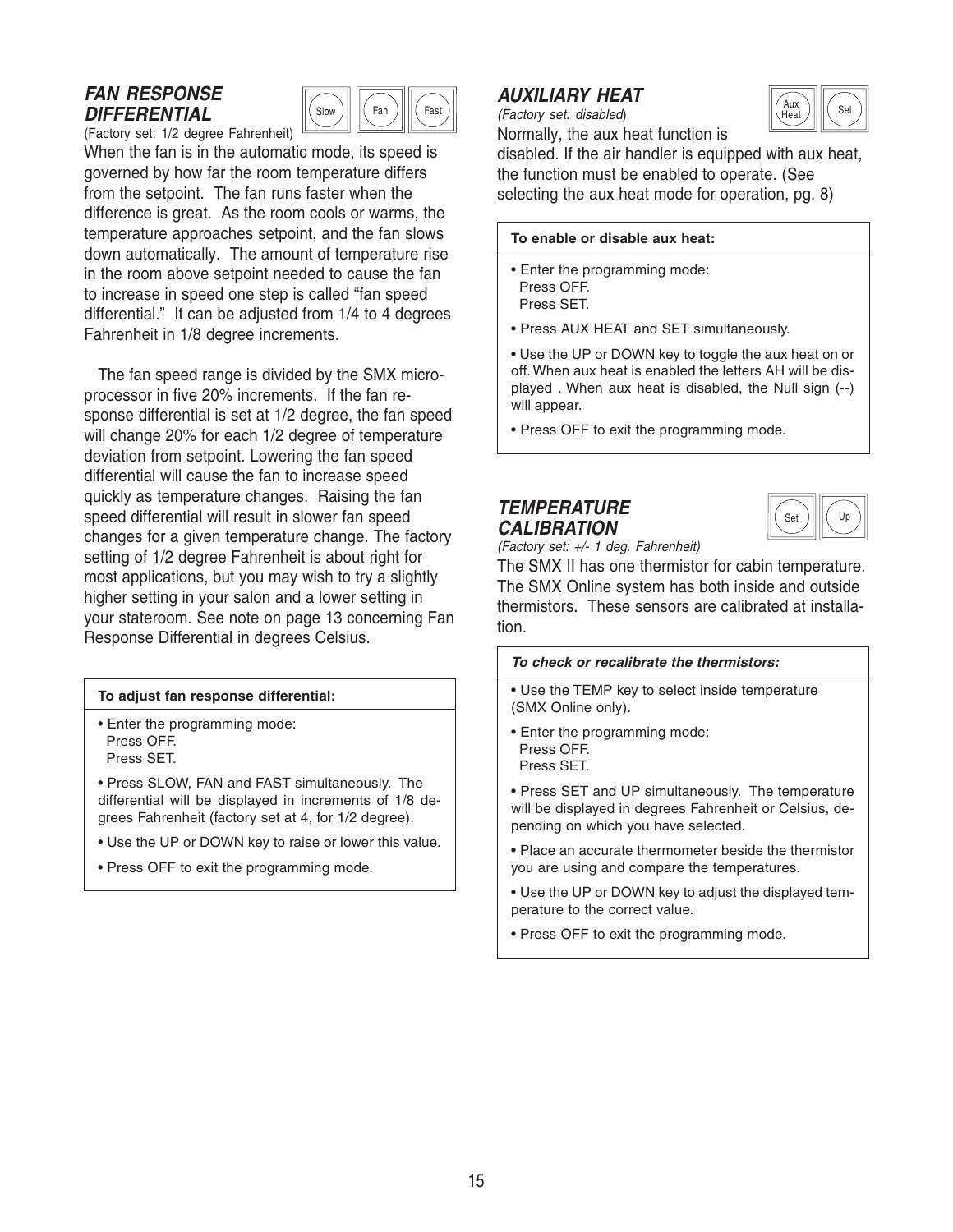# **FAN RESPONSE DIFFERENTIAL**



(Factory set: 1/2 degree Fahrenheit) When the fan is in the automatic mode, its speed is governed by how far the room temperature differs from the setpoint. The fan runs faster when the difference is great. As the room cools or warms, the temperature approaches setpoint, and the fan slows down automatically. The amount of temperature rise in the room above setpoint needed to cause the fan to increase in speed one step is called "fan speed differential." It can be adjusted from 1/4 to 4 degrees Fahrenheit in 1/8 degree increments.

The fan speed range is divided by the SMX microprocessor in five 20% increments. If the fan response differential is set at 1/2 degree, the fan speed will change 20% for each 1/2 degree of temperature deviation from setpoint. Lowering the fan speed differential will cause the fan to increase speed quickly as temperature changes. Raising the fan speed differential will result in slower fan speed changes for a given temperature change. The factory setting of 1/2 degree Fahrenheit is about right for most applications, but you may wish to try a slightly higher setting in your salon and a lower setting in your stateroom. See note on page 13 concerning Fan Response Differential in degrees Celsius.

#### **To adjust fan response differential:**

• Enter the programming mode: Press OFF. Press SET.

• Press SLOW, FAN and FAST simultaneously. The differential will be displayed in increments of 1/8 degrees Fahrenheit (factory set at 4, for 1/2 degree).

- Use the UP or DOWN key to raise or lower this value.
- Press OFF to exit the programming mode.

# **AUXILIARY HEAT**

(Factory set: disabled) Normally, the aux heat function is



disabled. If the air handler is equipped with aux heat, the function must be enabled to operate. (See selecting the aux heat mode for operation, pg. 8)

#### **To enable or disable aux heat:**

- Enter the programming mode: Press OFF.
- Press SET.
- Press AUX HEAT and SET simultaneously.
- Use the UP or DOWN key to toggle the aux heat on or off. When aux heat is enabled the letters AH will be displayed . When aux heat is disabled, the Null sign (--) will appear.
- Press OFF to exit the programming mode.

## **TEMPERATURE CALIBRATION**



(Factory set: +/- 1 deg. Fahrenheit)

The SMX II has one thermistor for cabin temperature. The SMX Online system has both inside and outside thermistors. These sensors are calibrated at installation.

#### **To check or recalibrate the thermistors:**

• Use the TEMP key to select inside temperature (SMX Online only).

- Enter the programming mode: Press OFF. Press SET.
- Press SET and UP simultaneously. The temperature will be displayed in degrees Fahrenheit or Celsius, depending on which you have selected.
- Place an accurate thermometer beside the thermistor you are using and compare the temperatures.
- Use the UP or DOWN key to adjust the displayed temperature to the correct value.
- Press OFF to exit the programming mode.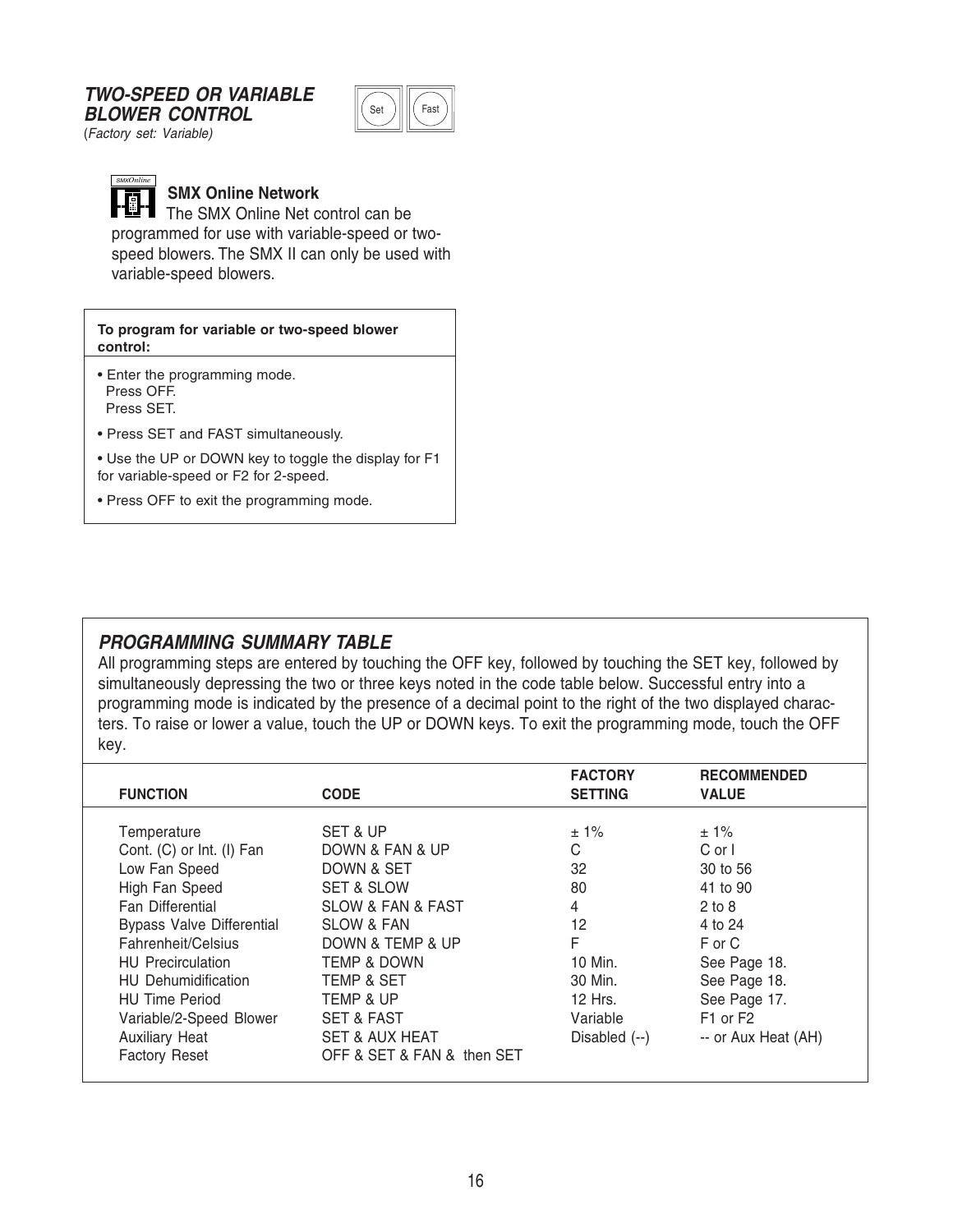#### **TWO-SPEED OR VARIABLE BLOWER CONTROL**



(Factory set: Variable)



## **SMX Online Network**

The SMX Online Net control can be programmed for use with variable-speed or twospeed blowers. The SMX II can only be used with variable-speed blowers.

#### **To program for variable or two-speed blower control:**

• Enter the programming mode. Press OFF.

Press SET.

• Press SET and FAST simultaneously.

• Use the UP or DOWN key to toggle the display for F1 for variable-speed or F2 for 2-speed.

• Press OFF to exit the programming mode.

# **PROGRAMMING SUMMARY TABLE**

All programming steps are entered by touching the OFF key, followed by touching the SET key, followed by simultaneously depressing the two or three keys noted in the code table below. Successful entry into a programming mode is indicated by the presence of a decimal point to the right of the two displayed characters. To raise or lower a value, touch the UP or DOWN keys. To exit the programming mode, touch the OFF key.

| <b>FUNCTION</b>                  | <b>CODE</b>                      | <b>FACTORY</b><br><b>SETTING</b> | <b>RECOMMENDED</b><br><b>VALUE</b> |
|----------------------------------|----------------------------------|----------------------------------|------------------------------------|
|                                  |                                  |                                  |                                    |
| Temperature                      | SET & UP                         | $± 1\%$                          | ± 1%                               |
| Cont. (C) or Int. (I) Fan        | DOWN & FAN & UP                  | C                                | $C$ or $\vert$                     |
| Low Fan Speed                    | DOWN & SET                       | 32                               | 30 to 56                           |
| High Fan Speed                   | <b>SET &amp; SLOW</b>            | 80                               | 41 to 90                           |
| <b>Fan Differential</b>          | <b>SLOW &amp; FAN &amp; FAST</b> | 4                                | $2$ to $8$                         |
| <b>Bypass Valve Differential</b> | <b>SLOW &amp; FAN</b>            | 12                               | 4 to 24                            |
| Fahrenheit/Celsius               | DOWN & TEMP & UP                 | F                                | F or C                             |
| <b>HU</b> Precirculation         | <b>TEMP &amp; DOWN</b>           | 10 Min.                          | See Page 18.                       |
| <b>HU</b> Dehumidification       | <b>TEMP &amp; SET</b>            | 30 Min.                          | See Page 18.                       |
| <b>HU Time Period</b>            | <b>TEMP &amp; UP</b>             | 12 Hrs.                          | See Page 17.                       |
| Variable/2-Speed Blower          | <b>SET &amp; FAST</b>            | Variable                         | F <sub>1</sub> or F <sub>2</sub>   |
| <b>Auxiliary Heat</b>            | <b>SET &amp; AUX HEAT</b>        | Disabled $(-)$                   | -- or Aux Heat (AH)                |
| <b>Factory Reset</b>             | OFF & SET & FAN & then SET       |                                  |                                    |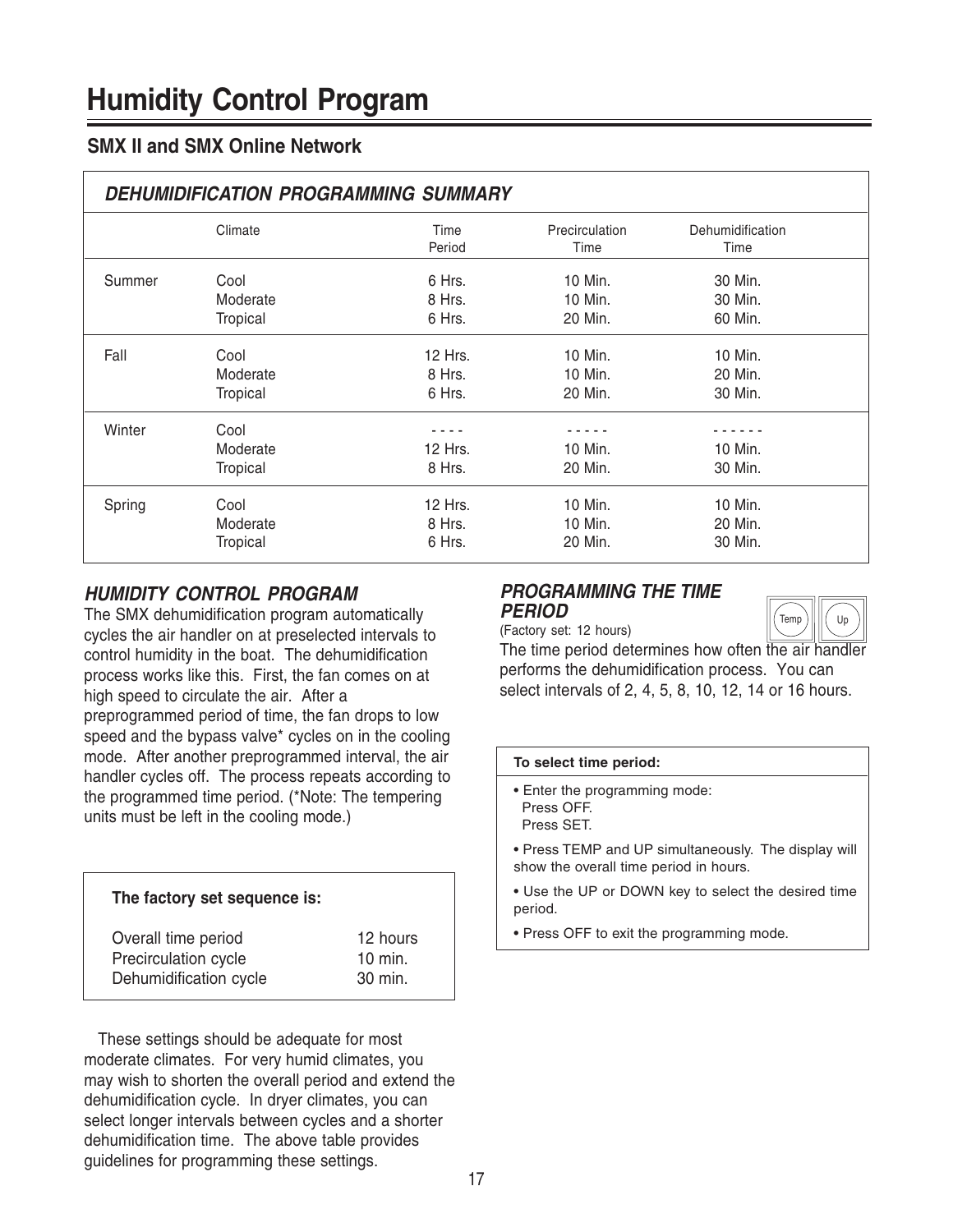# **SMX II and SMX Online Network**

| <b>DEHUMIDIFICATION PROGRAMMING SUMMARY</b> |                 |                |                        |                          |
|---------------------------------------------|-----------------|----------------|------------------------|--------------------------|
|                                             | Climate         | Time<br>Period | Precirculation<br>Time | Dehumidification<br>Time |
| Summer                                      | Cool            | 6 Hrs.         | 10 Min.                | 30 Min.                  |
|                                             | Moderate        | 8 Hrs.         | 10 Min.                | 30 Min.                  |
|                                             | Tropical        | 6 Hrs.         | 20 Min.                | 60 Min.                  |
| Fall                                        | Cool            | 12 Hrs.        | 10 Min.                | 10 Min.                  |
|                                             | Moderate        | 8 Hrs.         | 10 Min.                | 20 Min.                  |
|                                             | Tropical        | 6 Hrs.         | 20 Min.                | 30 Min.                  |
| Winter                                      | Cool            |                |                        |                          |
|                                             | Moderate        | 12 Hrs.        | 10 Min.                | 10 Min.                  |
|                                             | Tropical        | 8 Hrs.         | 20 Min.                | 30 Min.                  |
| Spring                                      | Cool            | 12 Hrs.        | 10 Min.                | 10 Min.                  |
|                                             | Moderate        | 8 Hrs.         | 10 Min.                | 20 Min.                  |
|                                             | <b>Tropical</b> | 6 Hrs.         | 20 Min.                | 30 Min.                  |

## **HUMIDITY CONTROL PROGRAM**

The SMX dehumidification program automatically cycles the air handler on at preselected intervals to control humidity in the boat. The dehumidification process works like this. First, the fan comes on at high speed to circulate the air. After a preprogrammed period of time, the fan drops to low speed and the bypass valve\* cycles on in the cooling mode. After another preprogrammed interval, the air handler cycles off. The process repeats according to the programmed time period. (\*Note: The tempering units must be left in the cooling mode.)

| The factory set sequence is: |
|------------------------------|
| 12 hours                     |
| $10$ min.<br>30 min.         |
|                              |

These settings should be adequate for most moderate climates. For very humid climates, you may wish to shorten the overall period and extend the dehumidification cycle. In dryer climates, you can select longer intervals between cycles and a shorter dehumidification time. The above table provides guidelines for programming these settings.

#### **PROGRAMMING THE TIME PERIOD**



(Factory set: 12 hours)

The time period determines how often the air handler performs the dehumidification process. You can select intervals of 2, 4, 5, 8, 10, 12, 14 or 16 hours.

#### **To select time period:**

- Enter the programming mode: Press OFF. Press SET.
- Press TEMP and UP simultaneously. The display will show the overall time period in hours.
- Use the UP or DOWN key to select the desired time period.
- Press OFF to exit the programming mode.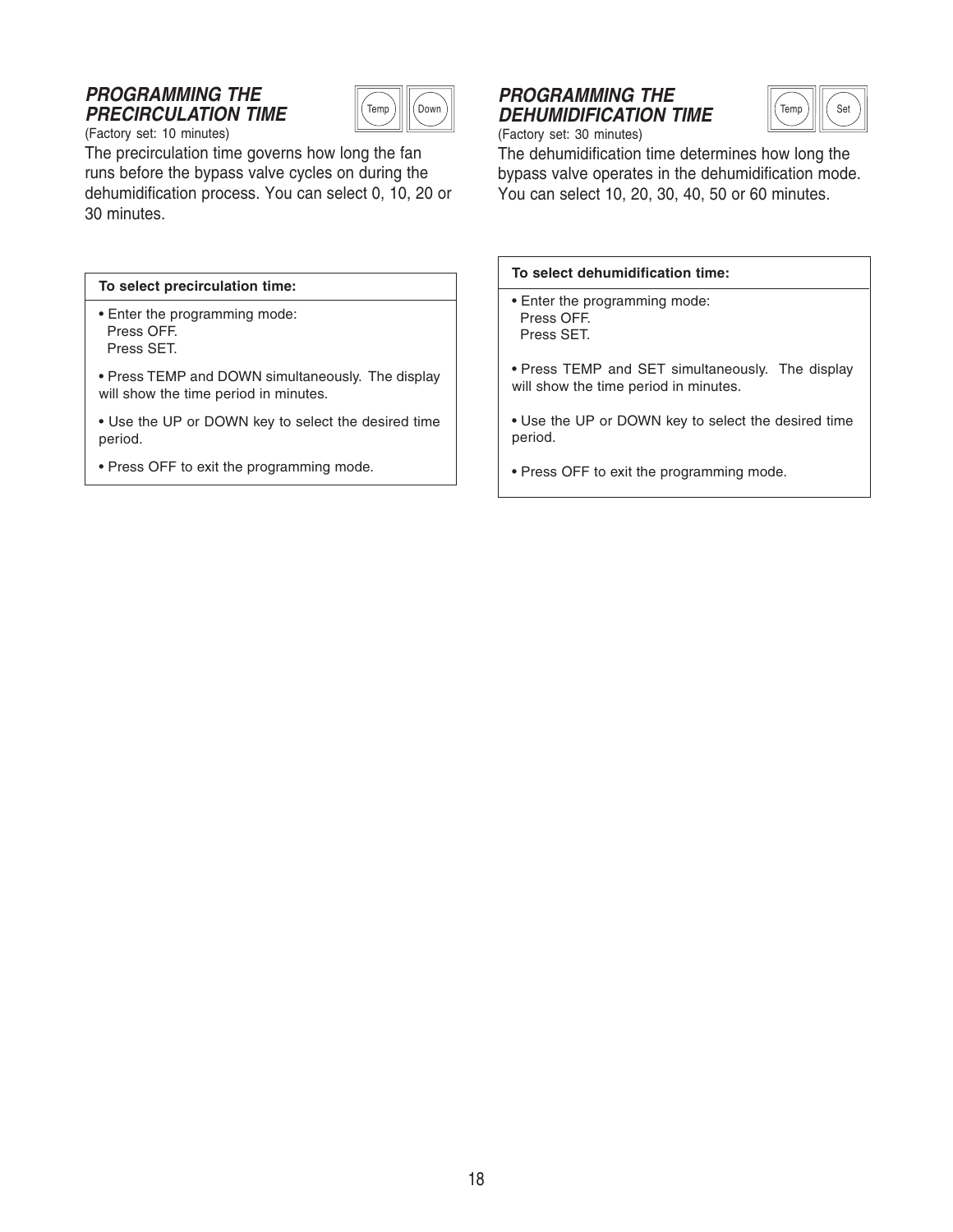## **PROGRAMMING THE PRECIRCULATION TIME**



(Factory set: 10 minutes)

The precirculation time governs how long the fan runs before the bypass valve cycles on during the dehumidification process. You can select 0, 10, 20 or 30 minutes.

#### **To select precirculation time:**

• Enter the programming mode: Press OFF. Press SET.

• Press TEMP and DOWN simultaneously. The display will show the time period in minutes.

- Use the UP or DOWN key to select the desired time period.
- Press OFF to exit the programming mode.

# **PROGRAMMING THE** <sup>Temp</sup>ノ||||(<sup>Down</sup>*)*|| *DEHUMIDIFICATION TIME* ||(<sup>Temp</sup>*)*||||( <sup>Set</sup>



(Factory set: 30 minutes)

The dehumidification time determines how long the bypass valve operates in the dehumidification mode. You can select 10, 20, 30, 40, 50 or 60 minutes.

|  |  | To select dehumidification time: |  |
|--|--|----------------------------------|--|
|--|--|----------------------------------|--|

- Enter the programming mode: Press OFF. Press SET.
- Press TEMP and SET simultaneously. The display will show the time period in minutes.
- Use the UP or DOWN key to select the desired time period.
- Press OFF to exit the programming mode.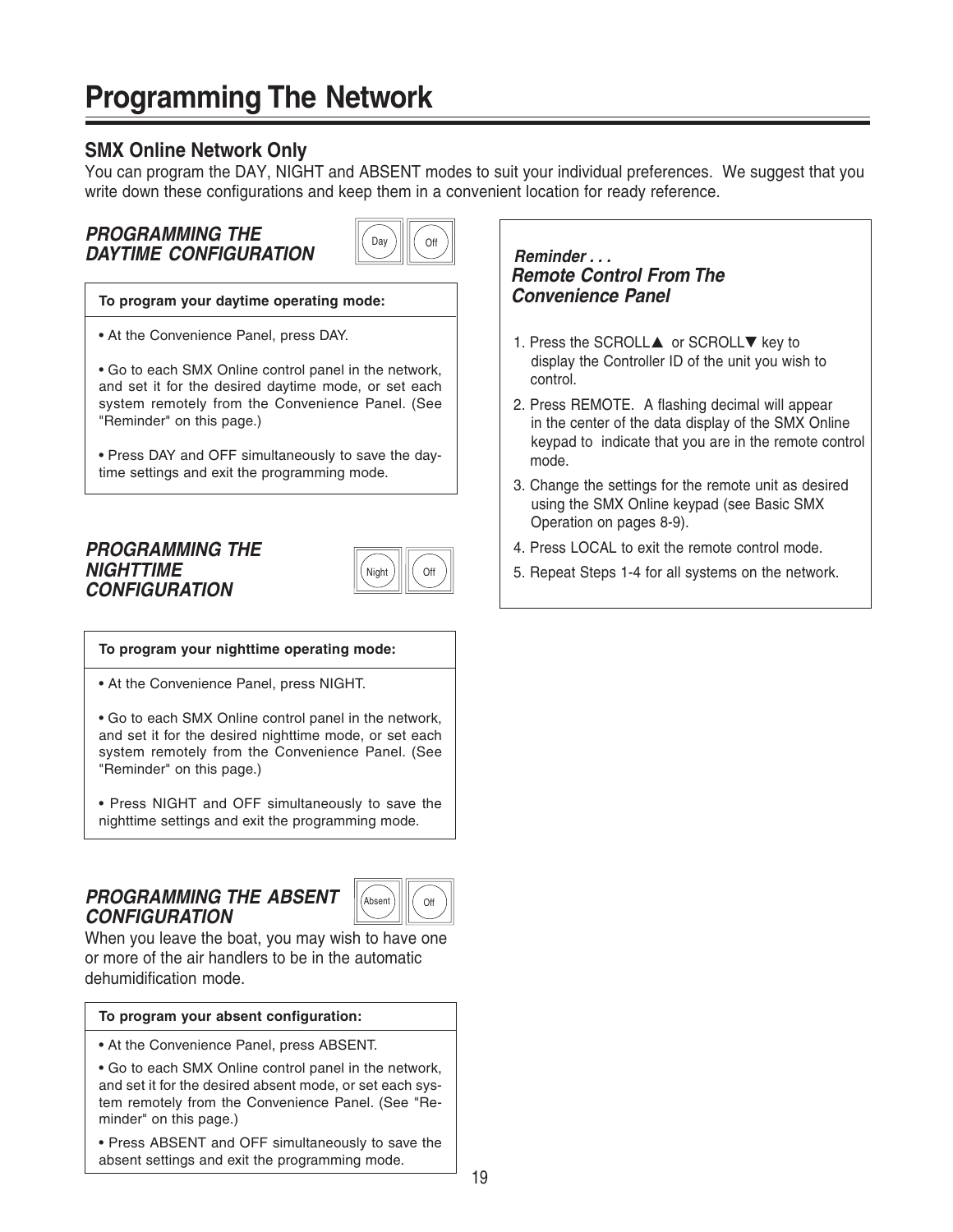# **Programming The Network**

# **SMX Online Network Only**

You can program the DAY, NIGHT and ABSENT modes to suit your individual preferences. We suggest that you write down these configurations and keep them in a convenient location for ready reference.

## **PROGRAMMING THE DAYTIME CONFIGURATION**



#### **To program your daytime operating mode:**

• At the Convenience Panel, press DAY.

• Go to each SMX Online control panel in the network, and set it for the desired daytime mode, or set each system remotely from the Convenience Panel. (See "Reminder" on this page.)

• Press DAY and OFF simultaneously to save the daytime settings and exit the programming mode.

## **PROGRAMMING THE NIGHTTIME CONFIGURATION**



#### **To program your nighttime operating mode:**

• At the Convenience Panel, press NIGHT.

• Go to each SMX Online control panel in the network, and set it for the desired nighttime mode, or set each system remotely from the Convenience Panel. (See "Reminder" on this page.)

• Press NIGHT and OFF simultaneously to save the nighttime settings and exit the programming mode.

# **PROGRAMMING THE ABSENT CONFIGURATION**



When you leave the boat, you may wish to have one or more of the air handlers to be in the automatic dehumidification mode.

#### **To program your absent configuration:**

• At the Convenience Panel, press ABSENT.

• Go to each SMX Online control panel in the network, and set it for the desired absent mode, or set each system remotely from the Convenience Panel. (See "Reminder" on this page.)

• Press ABSENT and OFF simultaneously to save the absent settings and exit the programming mode.

 **Reminder . . . Remote Control From The Convenience Panel**

- 1. Press the SCROLL▲ or SCROLL▼ key to display the Controller ID of the unit you wish to control.
- 2. Press REMOTE. A flashing decimal will appear in the center of the data display of the SMX Online keypad to indicate that you are in the remote control mode.
- 3. Change the settings for the remote unit as desired using the SMX Online keypad (see Basic SMX Operation on pages 8-9).
- 4. Press LOCAL to exit the remote control mode.
- 5. Repeat Steps 1-4 for all systems on the network.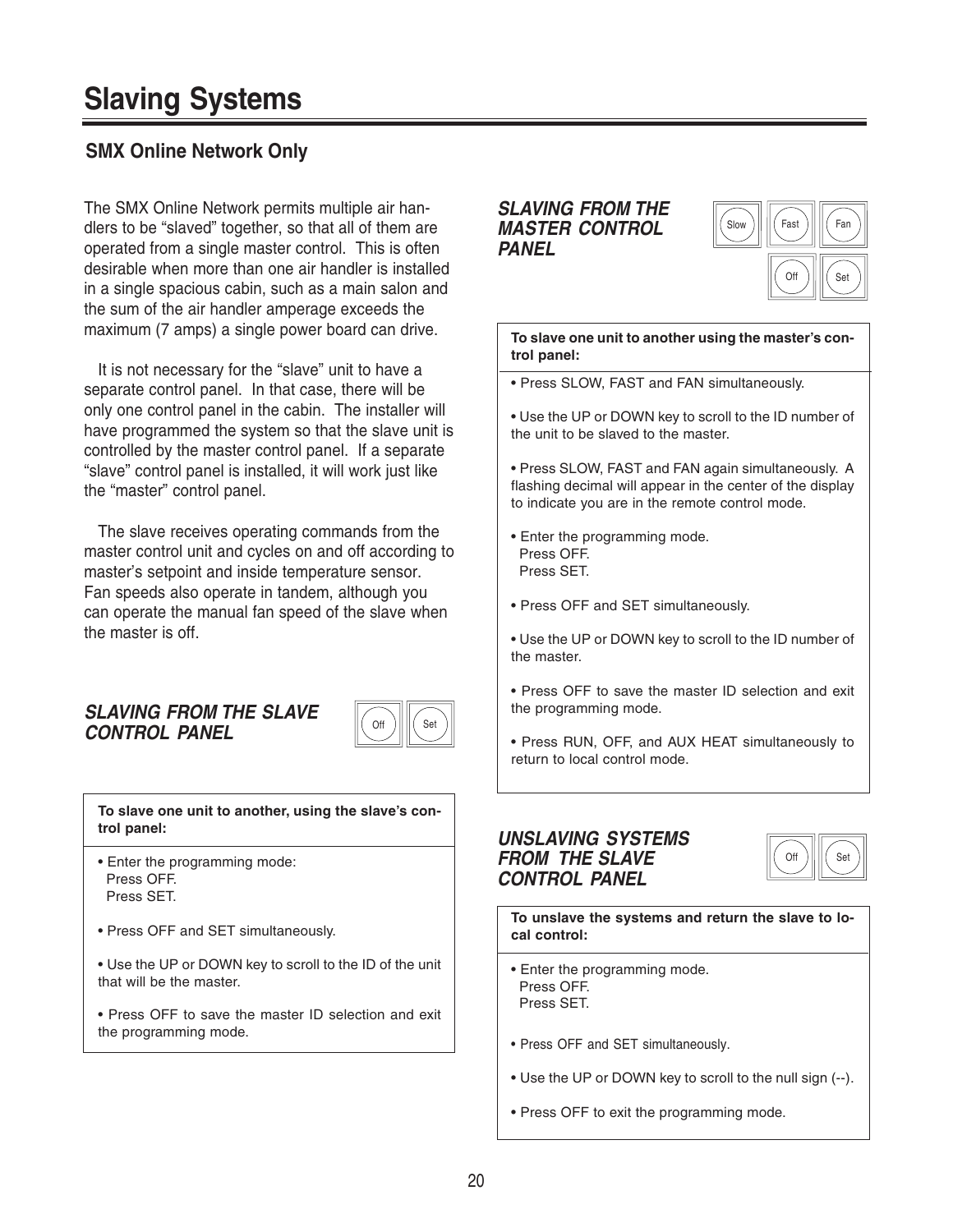# **Slaving Systems**

# **SMX Online Network Only**

The SMX Online Network permits multiple air handlers to be "slaved" together, so that all of them are operated from a single master control. This is often desirable when more than one air handler is installed in a single spacious cabin, such as a main salon and the sum of the air handler amperage exceeds the maximum (7 amps) a single power board can drive.

It is not necessary for the "slave" unit to have a separate control panel. In that case, there will be only one control panel in the cabin. The installer will have programmed the system so that the slave unit is controlled by the master control panel. If a separate "slave" control panel is installed, it will work just like the "master" control panel.

The slave receives operating commands from the master control unit and cycles on and off according to master's setpoint and inside temperature sensor. Fan speeds also operate in tandem, although you can operate the manual fan speed of the slave when the master is off.

## **SLAVING FROM THE SLAVE CONTROL PANEL**



**To slave one unit to another, using the slave's control panel:**

- Enter the programming mode: Press OFF. Press SET.
- Press OFF and SET simultaneously.

• Use the UP or DOWN key to scroll to the ID of the unit that will be the master.

• Press OFF to save the master ID selection and exit the programming mode.

#### **SLAVING FROM THE MASTER CONTROL PANEL**



**To slave one unit to another using the master's control panel:**

- Press SLOW, FAST and FAN simultaneously.
- Use the UP or DOWN key to scroll to the ID number of the unit to be slaved to the master.
- Press SLOW, FAST and FAN again simultaneously. A flashing decimal will appear in the center of the display to indicate you are in the remote control mode.
- Enter the programming mode. Press OFF. Press SET.
- Press OFF and SET simultaneously.
- Use the UP or DOWN key to scroll to the ID number of the master.
- Press OFF to save the master ID selection and exit the programming mode.
- Press RUN, OFF, and AUX HEAT simultaneously to return to local control mode.

## **UNSLAVING SYSTEMS FROM THE SLAVE CONTROL PANEL**



**To unslave the systems and return the slave to local control:**

- Enter the programming mode. Press OFF. Press SET.
- Press OFF and SET simultaneously.
- Use the UP or DOWN key to scroll to the null sign (--).
- Press OFF to exit the programming mode.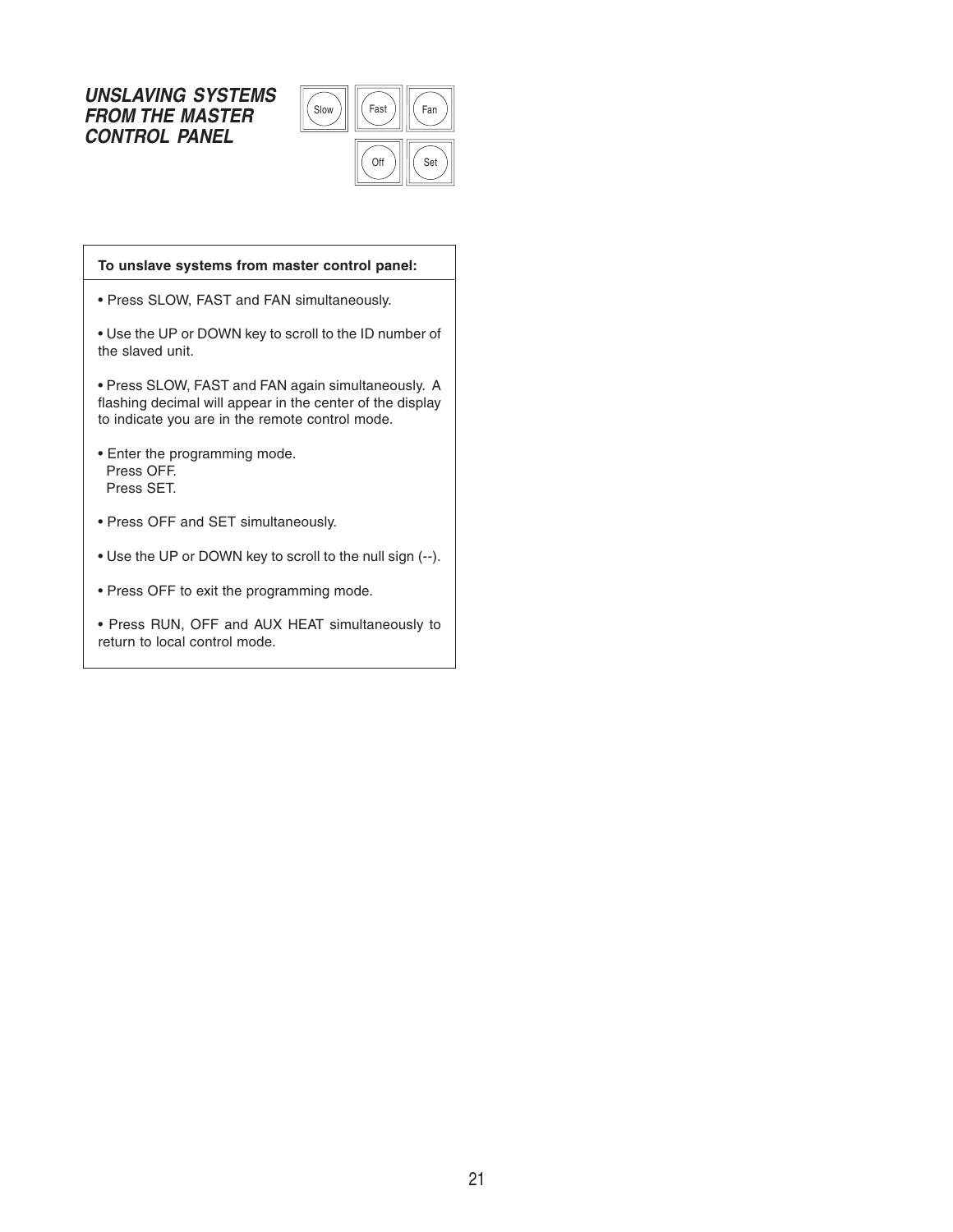## **UNSLAVING SYSTEMS FROM THE MASTER CONTROL PANEL**



# **To unslave systems from master control panel:**

• Press SLOW, FAST and FAN simultaneously.

• Use the UP or DOWN key to scroll to the ID number of the slaved unit.

• Press SLOW, FAST and FAN again simultaneously. A flashing decimal will appear in the center of the display to indicate you are in the remote control mode.

- Enter the programming mode. Press OFF. Press SET.
- Press OFF and SET simultaneously.
- Use the UP or DOWN key to scroll to the null sign (--).
- Press OFF to exit the programming mode.
- Press RUN, OFF and AUX HEAT simultaneously to return to local control mode.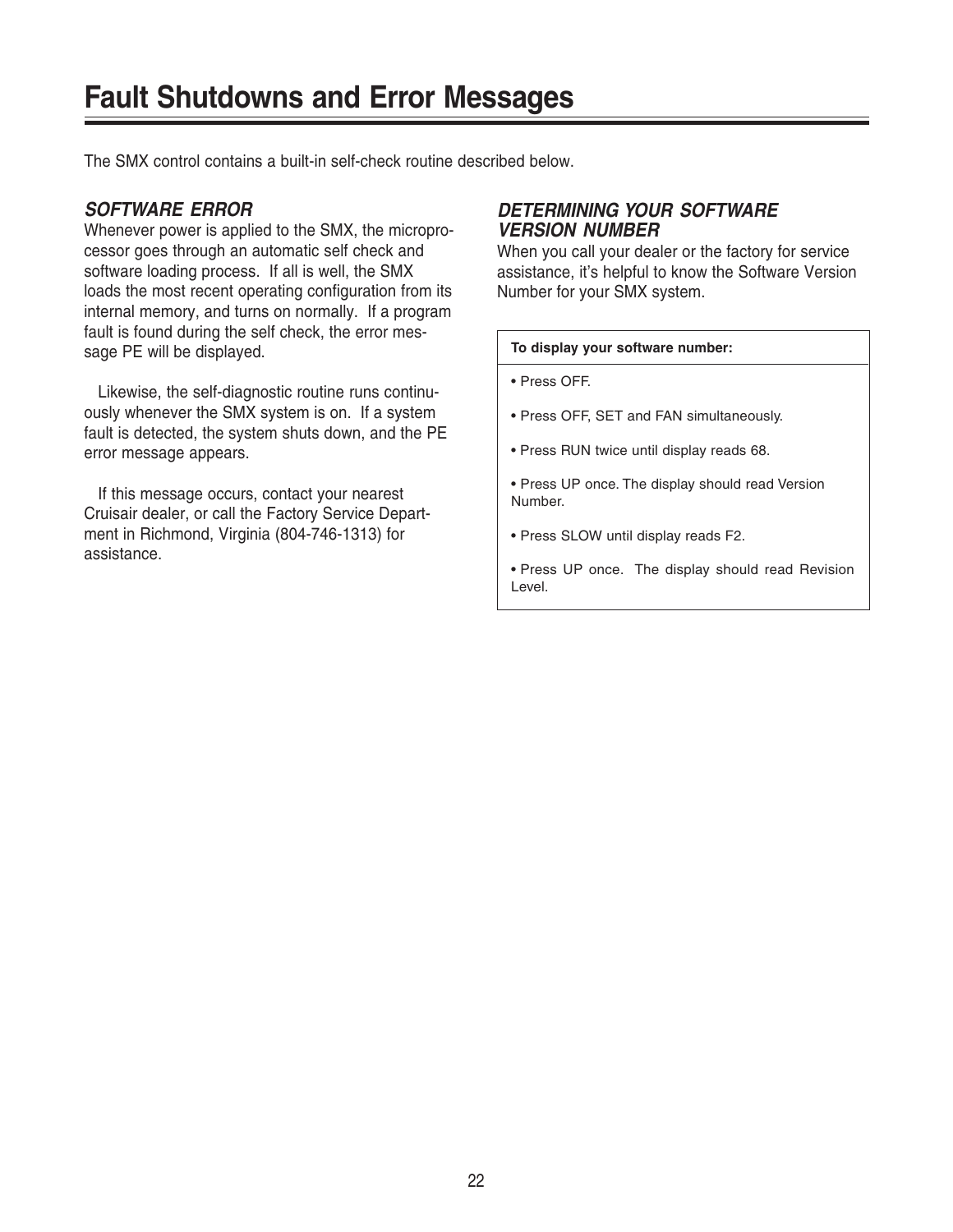The SMX control contains a built-in self-check routine described below.

## **SOFTWARE ERROR**

Whenever power is applied to the SMX, the microprocessor goes through an automatic self check and software loading process. If all is well, the SMX loads the most recent operating configuration from its internal memory, and turns on normally. If a program fault is found during the self check, the error message PE will be displayed.

Likewise, the self-diagnostic routine runs continuously whenever the SMX system is on. If a system fault is detected, the system shuts down, and the PE error message appears.

If this message occurs, contact your nearest Cruisair dealer, or call the Factory Service Department in Richmond, Virginia (804-746-1313) for assistance.

## **DETERMINING YOUR SOFTWARE VERSION NUMBER**

When you call your dealer or the factory for service assistance, it's helpful to know the Software Version Number for your SMX system.

#### **To display your software number:**

• Press OFF.

- Press OFF, SET and FAN simultaneously.
- Press RUN twice until display reads 68.
- Press UP once. The display should read Version Number.
- Press SLOW until display reads F2.
- Press UP once. The display should read Revision Level.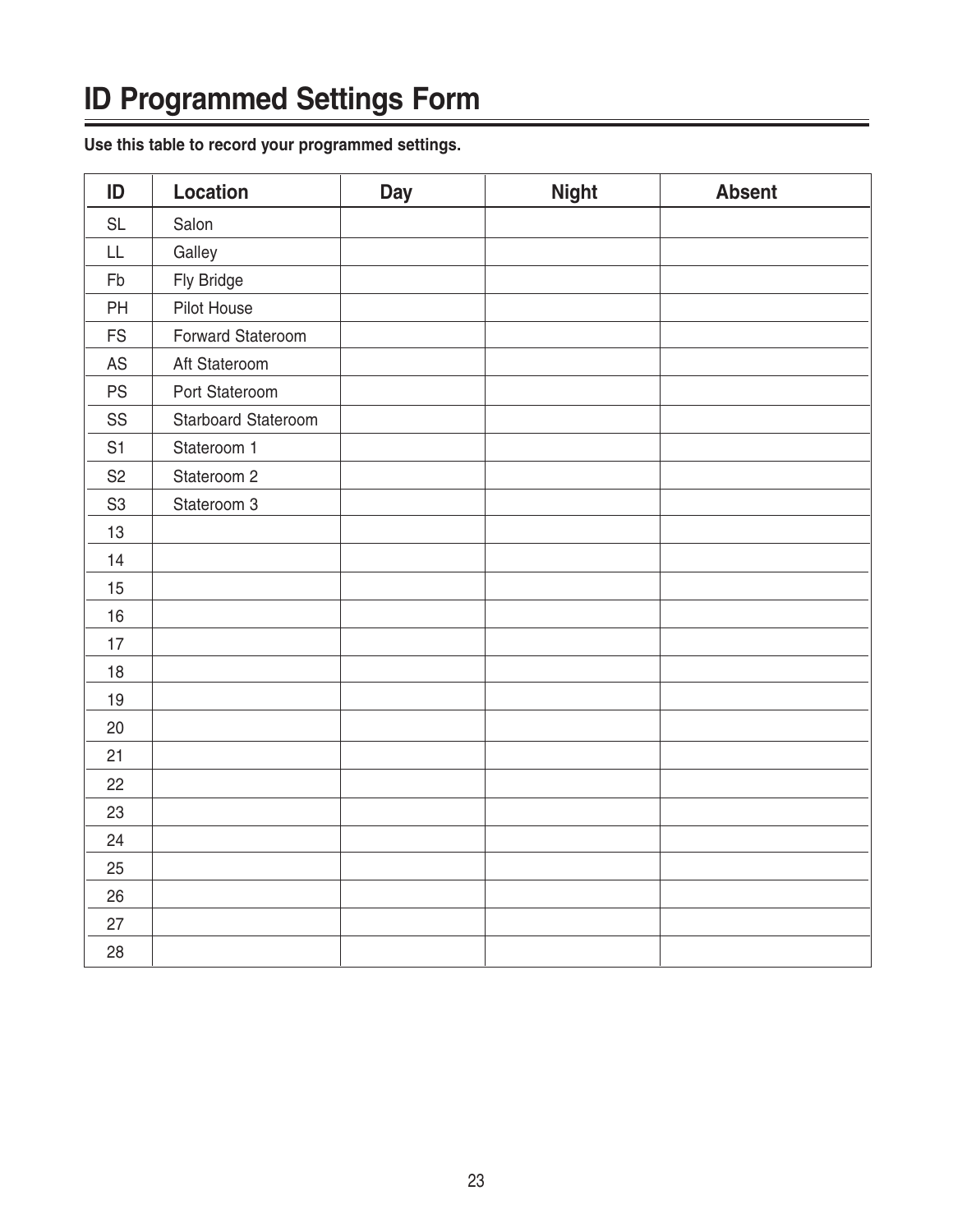# **ID Programmed Settings Form**

**Use this table to record your programmed settings.**

| ID             | <b>Location</b>     | <b>Day</b> | <b>Night</b> | <b>Absent</b> |
|----------------|---------------------|------------|--------------|---------------|
| <b>SL</b>      | Salon               |            |              |               |
| LL             | Galley              |            |              |               |
| Fb             | Fly Bridge          |            |              |               |
| PH             | Pilot House         |            |              |               |
| <b>FS</b>      | Forward Stateroom   |            |              |               |
| AS             | Aft Stateroom       |            |              |               |
| <b>PS</b>      | Port Stateroom      |            |              |               |
| SS             | Starboard Stateroom |            |              |               |
| S <sub>1</sub> | Stateroom 1         |            |              |               |
| S <sub>2</sub> | Stateroom 2         |            |              |               |
| S <sub>3</sub> | Stateroom 3         |            |              |               |
| 13             |                     |            |              |               |
| 14             |                     |            |              |               |
| 15             |                     |            |              |               |
| 16             |                     |            |              |               |
| 17             |                     |            |              |               |
| 18             |                     |            |              |               |
| 19             |                     |            |              |               |
| 20             |                     |            |              |               |
| 21             |                     |            |              |               |
| 22             |                     |            |              |               |
| 23             |                     |            |              |               |
| 24             |                     |            |              |               |
| 25             |                     |            |              |               |
| 26             |                     |            |              |               |
| 27             |                     |            |              |               |
| 28             |                     |            |              |               |